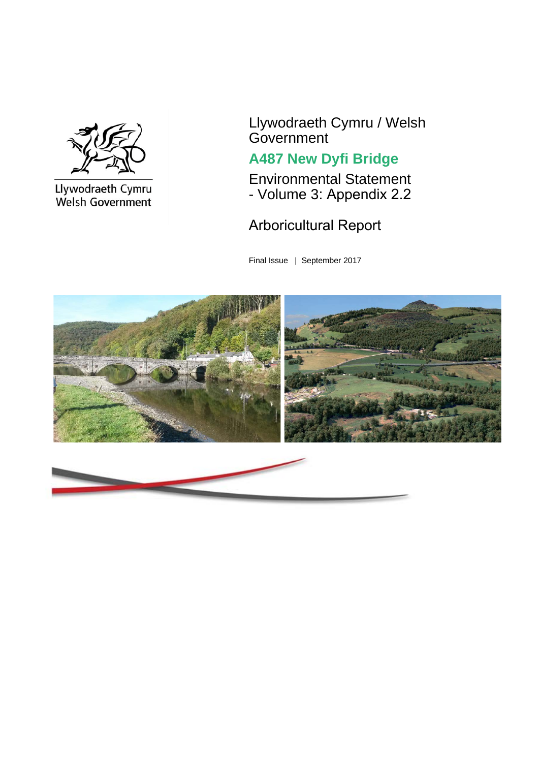

Llywodraeth Cymru<br>Welsh Government

Llywodraeth Cymru / Welsh **Government** 

### **A487 New Dyfi Bridge**

Environmental Statement - Volume 3: Appendix 2.2

#### Arboricultural Report

Final Issue | September 2017

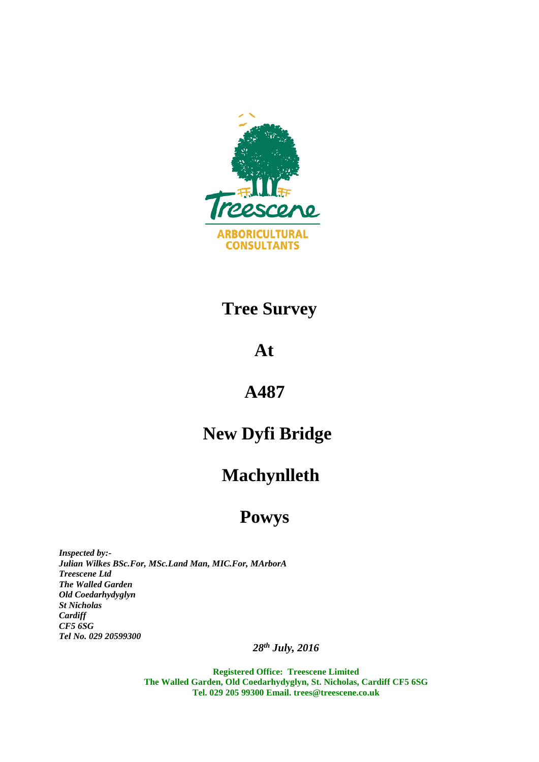

### **Tree Survey**

### **At**

#### **A487**

# **New Dyfi Bridge**

# **Machynlleth**

# **Powys**

*Inspected by:- Julian Wilkes BSc.For, MSc.Land Man, MIC.For, MArborA Treescene Ltd The Walled Garden Old Coedarhydyglyn St Nicholas Cardiff CF5 6SG Tel No. 029 20599300*

*28th July, 2016* 

**Registered Office: Treescene Limited The Walled Garden, Old Coedarhydyglyn, St. Nicholas, Cardiff CF5 6SG Tel. 029 205 99300 Email. [trees@treescene.co.uk](mailto:trees@treescene.co.uk)**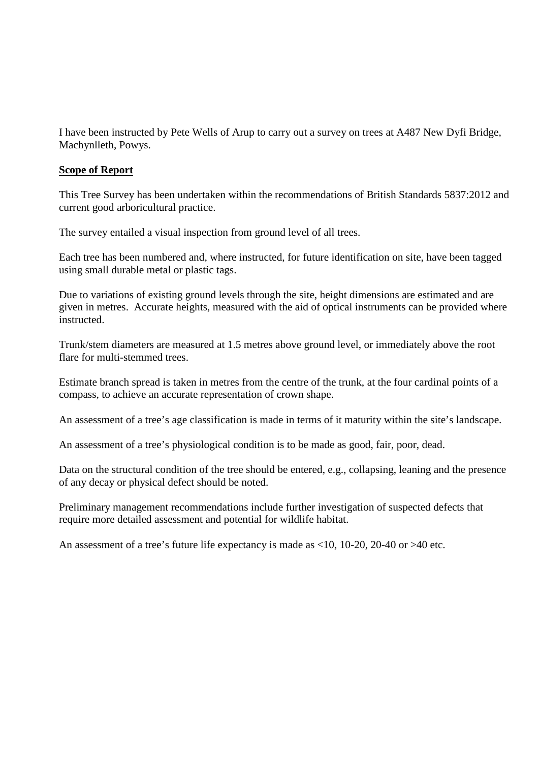I have been instructed by Pete Wells of Arup to carry out a survey on trees at A487 New Dyfi Bridge, Machynlleth, Powys.

#### **Scope of Report**

This Tree Survey has been undertaken within the recommendations of British Standards 5837:2012 and current good arboricultural practice.

The survey entailed a visual inspection from ground level of all trees.

Each tree has been numbered and, where instructed, for future identification on site, have been tagged using small durable metal or plastic tags.

Due to variations of existing ground levels through the site, height dimensions are estimated and are given in metres. Accurate heights, measured with the aid of optical instruments can be provided where instructed.

Trunk/stem diameters are measured at 1.5 metres above ground level, or immediately above the root flare for multi-stemmed trees.

Estimate branch spread is taken in metres from the centre of the trunk, at the four cardinal points of a compass, to achieve an accurate representation of crown shape.

An assessment of a tree's age classification is made in terms of it maturity within the site's landscape.

An assessment of a tree's physiological condition is to be made as good, fair, poor, dead.

Data on the structural condition of the tree should be entered, e.g., collapsing, leaning and the presence of any decay or physical defect should be noted.

Preliminary management recommendations include further investigation of suspected defects that require more detailed assessment and potential for wildlife habitat.

An assessment of a tree's future life expectancy is made as <10, 10-20, 20-40 or >40 etc.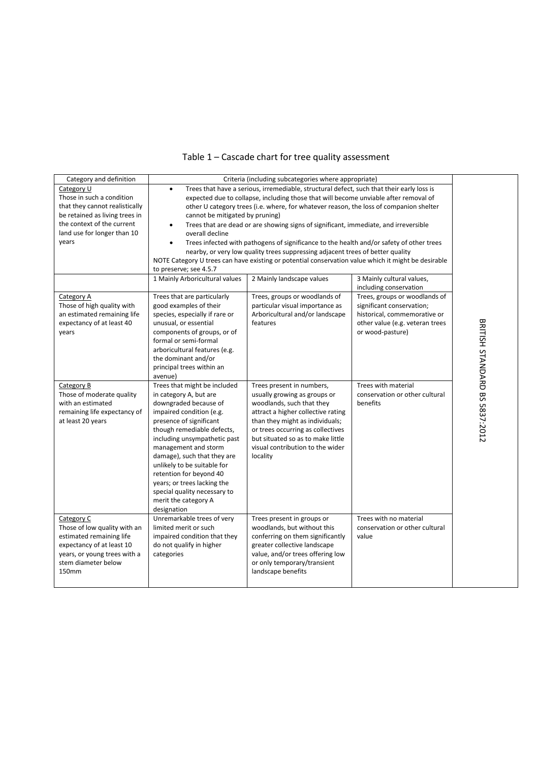| Category and definition<br>Category U                     | $\bullet$                                                | Criteria (including subcategories where appropriate)<br>Trees that have a serious, irremediable, structural defect, such that their early loss is |                                |                                      |
|-----------------------------------------------------------|----------------------------------------------------------|---------------------------------------------------------------------------------------------------------------------------------------------------|--------------------------------|--------------------------------------|
| Those in such a condition                                 |                                                          | expected due to collapse, including those that will become unviable after removal of                                                              |                                |                                      |
| that they cannot realistically                            |                                                          | other U category trees (i.e. where, for whatever reason, the loss of companion shelter                                                            |                                |                                      |
| be retained as living trees in                            | cannot be mitigated by pruning)                          |                                                                                                                                                   |                                |                                      |
| the context of the current                                | $\bullet$                                                | Trees that are dead or are showing signs of significant, immediate, and irreversible                                                              |                                |                                      |
| land use for longer than 10                               | overall decline                                          |                                                                                                                                                   |                                |                                      |
| years                                                     | $\bullet$                                                | Trees infected with pathogens of significance to the health and/or safety of other trees                                                          |                                |                                      |
|                                                           |                                                          | nearby, or very low quality trees suppressing adjacent trees of better quality                                                                    |                                |                                      |
|                                                           |                                                          | NOTE Category U trees can have existing or potential conservation value which it might be desirable                                               |                                |                                      |
|                                                           | to preserve; see 4.5.7                                   |                                                                                                                                                   |                                |                                      |
|                                                           | 1 Mainly Arboricultural values                           | 2 Mainly landscape values                                                                                                                         | 3 Mainly cultural values,      |                                      |
|                                                           |                                                          |                                                                                                                                                   | including conservation         |                                      |
| Category A                                                | Trees that are particularly                              | Trees, groups or woodlands of                                                                                                                     | Trees, groups or woodlands of  |                                      |
| Those of high quality with                                | good examples of their                                   | particular visual importance as                                                                                                                   | significant conservation;      |                                      |
| an estimated remaining life                               | species, especially if rare or                           | Arboricultural and/or landscape                                                                                                                   | historical, commemorative or   |                                      |
| expectancy of at least 40                                 | unusual, or essential                                    | other value (e.g. veteran trees                                                                                                                   |                                |                                      |
| years                                                     | components of groups, or of                              | features                                                                                                                                          | or wood-pasture)               |                                      |
|                                                           | formal or semi-formal                                    |                                                                                                                                                   |                                |                                      |
|                                                           | arboricultural features (e.g.                            |                                                                                                                                                   |                                |                                      |
|                                                           | the dominant and/or                                      |                                                                                                                                                   |                                |                                      |
|                                                           | principal trees within an                                |                                                                                                                                                   |                                |                                      |
|                                                           | avenue)                                                  |                                                                                                                                                   |                                |                                      |
| Category B                                                | Trees that might be included                             | Trees present in numbers,                                                                                                                         | Trees with material            | <b>BRITISH STANDARD BS 5837:2012</b> |
| Those of moderate quality                                 | in category A, but are                                   | usually growing as groups or                                                                                                                      | conservation or other cultural |                                      |
| with an estimated                                         | downgraded because of                                    | woodlands, such that they                                                                                                                         | benefits                       |                                      |
| remaining life expectancy of                              | impaired condition (e.g.                                 | attract a higher collective rating                                                                                                                |                                |                                      |
| at least 20 years                                         | presence of significant                                  | than they might as individuals;                                                                                                                   |                                |                                      |
|                                                           | though remediable defects,                               | or trees occurring as collectives                                                                                                                 |                                |                                      |
|                                                           | including unsympathetic past                             | but situated so as to make little                                                                                                                 |                                |                                      |
|                                                           | management and storm                                     | visual contribution to the wider                                                                                                                  |                                |                                      |
|                                                           | damage), such that they are                              | locality                                                                                                                                          |                                |                                      |
|                                                           | unlikely to be suitable for                              |                                                                                                                                                   |                                |                                      |
|                                                           | retention for beyond 40                                  |                                                                                                                                                   |                                |                                      |
|                                                           | years; or trees lacking the                              |                                                                                                                                                   |                                |                                      |
|                                                           | special quality necessary to                             |                                                                                                                                                   |                                |                                      |
|                                                           | merit the category A                                     |                                                                                                                                                   |                                |                                      |
|                                                           | designation                                              |                                                                                                                                                   |                                |                                      |
| Category C                                                | Unremarkable trees of very                               | Trees present in groups or                                                                                                                        | Trees with no material         |                                      |
| Those of low quality with an                              | limited merit or such                                    | woodlands, but without this                                                                                                                       | conservation or other cultural |                                      |
| estimated remaining life                                  | impaired condition that they<br>do not qualify in higher | conferring on them significantly<br>greater collective landscape                                                                                  | value                          |                                      |
| expectancy of at least 10<br>years, or young trees with a | categories                                               | value, and/or trees offering low                                                                                                                  |                                |                                      |
| stem diameter below                                       |                                                          | or only temporary/transient                                                                                                                       |                                |                                      |
| <b>150mm</b>                                              |                                                          | landscape benefits                                                                                                                                |                                |                                      |
|                                                           |                                                          |                                                                                                                                                   |                                |                                      |
|                                                           |                                                          |                                                                                                                                                   |                                |                                      |

#### Table 1 – Cascade chart for tree quality assessment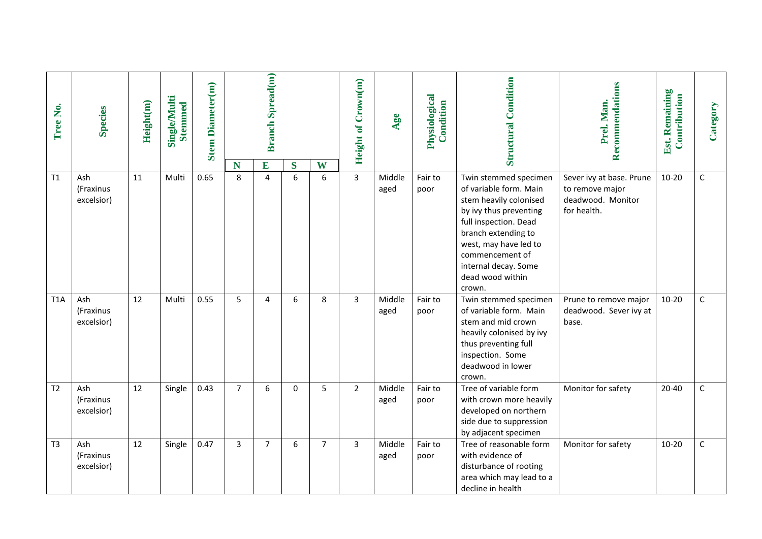| Tree No.         | <b>Species</b>                 | Height(m) | <b>Single/Multi</b><br><b>Stemmed</b> | <b>Stem Diameter(m)</b> | N              | <b>Branch Spread(m)</b><br>$\mathbf{E}$ | S           | W              | <b>Height of Crown(m)</b> | Age            | Physiological<br>Condition | <b>Structural Condition</b>                                                                                                                                                                                                                           | Recommendations<br>Prel. Man.                                                   | Est. Remaining<br>Contribution | Category     |
|------------------|--------------------------------|-----------|---------------------------------------|-------------------------|----------------|-----------------------------------------|-------------|----------------|---------------------------|----------------|----------------------------|-------------------------------------------------------------------------------------------------------------------------------------------------------------------------------------------------------------------------------------------------------|---------------------------------------------------------------------------------|--------------------------------|--------------|
| T1               | Ash<br>(Fraxinus<br>excelsior) | 11        | Multi                                 | 0.65                    | 8              | $\overline{4}$                          | 6           | 6              | $\overline{3}$            | Middle<br>aged | Fair to<br>poor            | Twin stemmed specimen<br>of variable form. Main<br>stem heavily colonised<br>by ivy thus preventing<br>full inspection. Dead<br>branch extending to<br>west, may have led to<br>commencement of<br>internal decay. Some<br>dead wood within<br>crown. | Sever ivy at base. Prune<br>to remove major<br>deadwood. Monitor<br>for health. | $10 - 20$                      | $\mathsf{C}$ |
| T <sub>1</sub> A | Ash<br>(Fraxinus<br>excelsior) | 12        | Multi                                 | 0.55                    | 5              | 4                                       | 6           | 8              | 3                         | Middle<br>aged | Fair to<br>poor            | Twin stemmed specimen<br>of variable form. Main<br>stem and mid crown<br>heavily colonised by ivy<br>thus preventing full<br>inspection. Some<br>deadwood in lower<br>crown.                                                                          | Prune to remove major<br>deadwood. Sever ivy at<br>base.                        | $10 - 20$                      | $\mathsf C$  |
| T <sub>2</sub>   | Ash<br>(Fraxinus<br>excelsior) | 12        | Single                                | 0.43                    | $\overline{7}$ | 6                                       | $\mathbf 0$ | 5              | $\overline{2}$            | Middle<br>aged | Fair to<br>poor            | Tree of variable form<br>with crown more heavily<br>developed on northern<br>side due to suppression<br>by adjacent specimen                                                                                                                          | Monitor for safety                                                              | 20-40                          | $\mathsf C$  |
| T <sub>3</sub>   | Ash<br>(Fraxinus<br>excelsior) | 12        | Single                                | 0.47                    | 3              | $\overline{7}$                          | 6           | $\overline{7}$ | 3                         | Middle<br>aged | Fair to<br>poor            | Tree of reasonable form<br>with evidence of<br>disturbance of rooting<br>area which may lead to a<br>decline in health                                                                                                                                | Monitor for safety                                                              | $10 - 20$                      | $\mathsf C$  |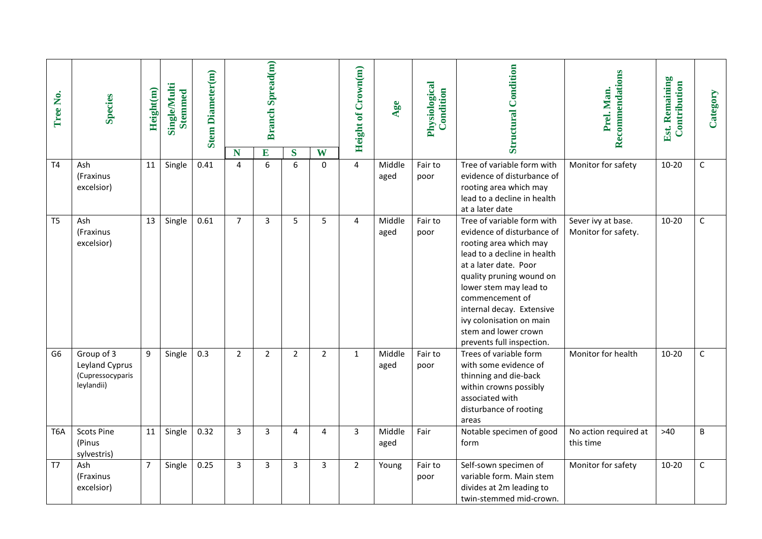| Tree No.         | <b>Species</b>                                                 | Height(m)      | Single/Multi<br><b>Stemmed</b> | <b>Stem Diameter(m)</b> |                | <b>Branch Spread(m)</b> |                |                | <b>Height of Crown(m)</b> | Age            | Physiological<br>Condition | <b>Structural Condition</b>                                                                                                                                                                                                                                                                                                       | Recommendations<br>Prel. Man.             | Est. Remaining<br>Contribution | Category    |
|------------------|----------------------------------------------------------------|----------------|--------------------------------|-------------------------|----------------|-------------------------|----------------|----------------|---------------------------|----------------|----------------------------|-----------------------------------------------------------------------------------------------------------------------------------------------------------------------------------------------------------------------------------------------------------------------------------------------------------------------------------|-------------------------------------------|--------------------------------|-------------|
|                  |                                                                |                |                                |                         | N              | $\overline{E}$          | S              | W              |                           |                |                            |                                                                                                                                                                                                                                                                                                                                   |                                           |                                |             |
| T <sub>4</sub>   | Ash<br>(Fraxinus<br>excelsior)                                 | 11             | Single                         | 0.41                    | 4              | 6                       | 6              | 0              | $\overline{4}$            | Middle<br>aged | Fair to<br>poor            | Tree of variable form with<br>evidence of disturbance of<br>rooting area which may<br>lead to a decline in health<br>at a later date                                                                                                                                                                                              | Monitor for safety                        | $10 - 20$                      | $\mathsf C$ |
| T <sub>5</sub>   | Ash<br>(Fraxinus<br>excelsior)                                 | 13             | Single                         | 0.61                    | $\overline{7}$ | $\overline{\mathbf{3}}$ | 5              | 5              | 4                         | Middle<br>aged | Fair to<br>poor            | Tree of variable form with<br>evidence of disturbance of<br>rooting area which may<br>lead to a decline in health<br>at a later date. Poor<br>quality pruning wound on<br>lower stem may lead to<br>commencement of<br>internal decay. Extensive<br>ivy colonisation on main<br>stem and lower crown<br>prevents full inspection. | Sever ivy at base.<br>Monitor for safety. | $10 - 20$                      | $\mathsf C$ |
| G6               | Group of 3<br>Leyland Cyprus<br>(Cupressocyparis<br>leylandii) | 9              | Single                         | 0.3                     | $\overline{2}$ | $\overline{2}$          | $\overline{2}$ | $\overline{2}$ | $\mathbf{1}$              | Middle<br>aged | Fair to<br>poor            | Trees of variable form<br>with some evidence of<br>thinning and die-back<br>within crowns possibly<br>associated with<br>disturbance of rooting<br>areas                                                                                                                                                                          | Monitor for health                        | $10 - 20$                      | $\mathsf C$ |
| T <sub>6</sub> A | <b>Scots Pine</b><br>(Pinus<br>sylvestris)                     | 11             | Single                         | 0.32                    | $\overline{3}$ | $\overline{3}$          | 4              | 4              | $\overline{3}$            | Middle<br>aged | Fair                       | Notable specimen of good<br>form                                                                                                                                                                                                                                                                                                  | No action required at<br>this time        | $>40$                          | $\sf B$     |
| T7               | Ash<br>(Fraxinus<br>excelsior)                                 | $\overline{7}$ | Single                         | 0.25                    | 3              | $\overline{3}$          | 3              | 3              | $\overline{2}$            | Young          | Fair to<br>poor            | Self-sown specimen of<br>variable form. Main stem<br>divides at 2m leading to<br>twin-stemmed mid-crown.                                                                                                                                                                                                                          | Monitor for safety                        | $10 - 20$                      | $\mathsf C$ |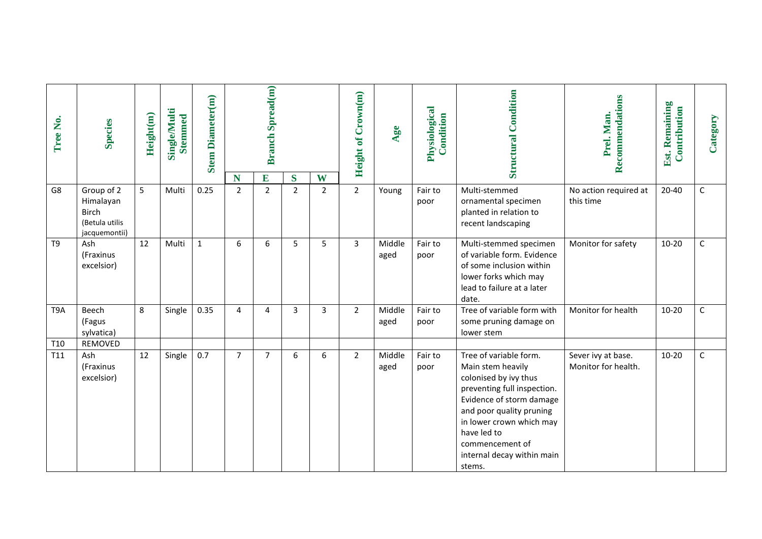| Tree No.               | <b>Species</b>                                                             | Height(m) | Single/Multi<br><b>Stemmed</b> | <b>Stem Diameter(m)</b> |                     | <b>Branch Spread(m)</b>        |                     |                     | <b>Height of Crown(m)</b> | Age            | Physiological<br>Condition | <b>Structural Condition</b>                                                                                                                                                                                                                                       | Recommendations<br>Prel. Man.             | Est. Remaining<br>Contribution | Category    |
|------------------------|----------------------------------------------------------------------------|-----------|--------------------------------|-------------------------|---------------------|--------------------------------|---------------------|---------------------|---------------------------|----------------|----------------------------|-------------------------------------------------------------------------------------------------------------------------------------------------------------------------------------------------------------------------------------------------------------------|-------------------------------------------|--------------------------------|-------------|
| G8                     | Group of 2<br>Himalayan<br><b>Birch</b><br>(Betula utilis<br>jacquemontii) | 5         | Multi                          | 0.25                    | N<br>$\overline{2}$ | $\mathbf{E}$<br>$\overline{2}$ | S<br>$\overline{2}$ | W<br>$\overline{2}$ | $\overline{2}$            | Young          | Fair to<br>poor            | Multi-stemmed<br>ornamental specimen<br>planted in relation to<br>recent landscaping                                                                                                                                                                              | No action required at<br>this time        | 20-40                          | $\mathsf C$ |
| T <sub>9</sub>         | Ash<br>(Fraxinus<br>excelsior)                                             | 12        | Multi                          | $\mathbf{1}$            | 6                   | 6                              | 5                   | 5                   | $\overline{3}$            | Middle<br>aged | Fair to<br>poor            | Multi-stemmed specimen<br>of variable form. Evidence<br>of some inclusion within<br>lower forks which may<br>lead to failure at a later<br>date.                                                                                                                  | Monitor for safety                        | $10 - 20$                      | $\mathsf C$ |
| T9A                    | Beech<br>(Fagus<br>sylvatica)<br>REMOVED                                   | 8         | Single                         | 0.35                    | $\overline{4}$      | 4                              | 3                   | 3                   | $\overline{2}$            | Middle<br>aged | Fair to<br>poor            | Tree of variable form with<br>some pruning damage on<br>lower stem                                                                                                                                                                                                | Monitor for health                        | $10 - 20$                      | $\mathsf C$ |
| T <sub>10</sub><br>T11 | Ash<br>(Fraxinus<br>excelsior)                                             | 12        | Single                         | 0.7                     | $\overline{7}$      | $\overline{7}$                 | 6                   | 6                   | $\overline{2}$            | Middle<br>aged | Fair to<br>poor            | Tree of variable form.<br>Main stem heavily<br>colonised by ivy thus<br>preventing full inspection.<br>Evidence of storm damage<br>and poor quality pruning<br>in lower crown which may<br>have led to<br>commencement of<br>internal decay within main<br>stems. | Sever ivy at base.<br>Monitor for health. | $10 - 20$                      | $\mathsf C$ |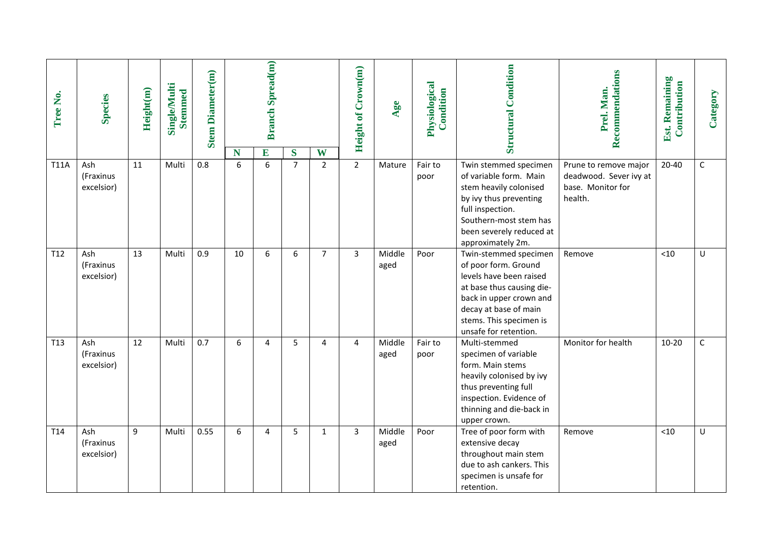| Tree No.        | <b>Species</b>                 | Height(m) | <b>Single/Multi</b><br><b>Stemmed</b> | <b>Stem Diameter(m)</b> | N  | <b>Branch Spread(m)</b><br>E | S              | W              | <b>Height of Crown(m)</b> | Age            | Physiological<br>Condition | <b>Structural Condition</b>                                                                                                                                                                                   | Recommendations<br>Prel. Man.                                                   | Est. Remaining<br>Contribution | Category    |
|-----------------|--------------------------------|-----------|---------------------------------------|-------------------------|----|------------------------------|----------------|----------------|---------------------------|----------------|----------------------------|---------------------------------------------------------------------------------------------------------------------------------------------------------------------------------------------------------------|---------------------------------------------------------------------------------|--------------------------------|-------------|
| <b>T11A</b>     | Ash<br>(Fraxinus<br>excelsior) | 11        | Multi                                 | 0.8                     | 6  | 6                            | $\overline{7}$ | $\overline{2}$ | $\overline{2}$            | Mature         | Fair to<br>poor            | Twin stemmed specimen<br>of variable form. Main<br>stem heavily colonised<br>by ivy thus preventing<br>full inspection.<br>Southern-most stem has<br>been severely reduced at<br>approximately 2m.            | Prune to remove major<br>deadwood. Sever ivy at<br>base. Monitor for<br>health. | $20 - 40$                      | $\mathsf C$ |
| T12             | Ash<br>(Fraxinus<br>excelsior) | 13        | Multi                                 | 0.9                     | 10 | 6                            | 6              | $\overline{7}$ | $\overline{3}$            | Middle<br>aged | Poor                       | Twin-stemmed specimen<br>of poor form. Ground<br>levels have been raised<br>at base thus causing die-<br>back in upper crown and<br>decay at base of main<br>stems. This specimen is<br>unsafe for retention. | Remove                                                                          | < 10                           | U           |
| T <sub>13</sub> | Ash<br>(Fraxinus<br>excelsior) | 12        | Multi                                 | 0.7                     | 6  | 4                            | 5              | 4              | $\overline{4}$            | Middle<br>aged | Fair to<br>poor            | Multi-stemmed<br>specimen of variable<br>form. Main stems<br>heavily colonised by ivy<br>thus preventing full<br>inspection. Evidence of<br>thinning and die-back in<br>upper crown.                          | Monitor for health                                                              | $10 - 20$                      | C           |
| T14             | Ash<br>(Fraxinus<br>excelsior) | 9         | Multi                                 | 0.55                    | 6  | 4                            | 5              | 1              | $\overline{3}$            | Middle<br>aged | Poor                       | Tree of poor form with<br>extensive decay<br>throughout main stem<br>due to ash cankers. This<br>specimen is unsafe for<br>retention.                                                                         | Remove                                                                          | < 10                           | U           |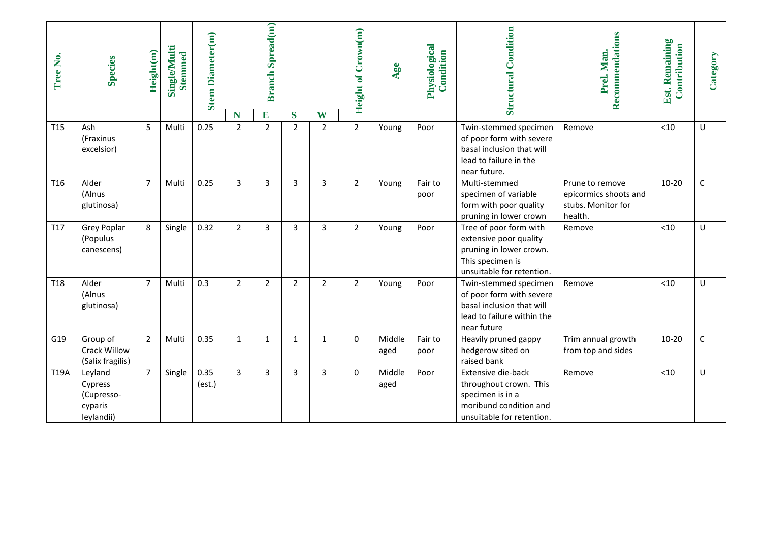| Tree No.        | <b>Species</b>                                            | Height(m)      | <b>Single/Multi</b><br>Stemmed | <b>Stem Diameter(m)</b> |                     | <b>Branch Spread(m)</b> |                     |                     | <b>Height of Crown(m)</b> | Age            | Physiological<br>Condition | <b>Structural Condition</b>                                                                                                  | Recommendations<br>Prel. Man.                                             | Est. Remaining<br>Contribution | Category |
|-----------------|-----------------------------------------------------------|----------------|--------------------------------|-------------------------|---------------------|-------------------------|---------------------|---------------------|---------------------------|----------------|----------------------------|------------------------------------------------------------------------------------------------------------------------------|---------------------------------------------------------------------------|--------------------------------|----------|
| T <sub>15</sub> | Ash<br>(Fraxinus<br>excelsior)                            | 5              | Multi                          | 0.25                    | N<br>$\overline{2}$ | E<br>$\overline{2}$     | S<br>$\overline{2}$ | W<br>$\overline{2}$ | $\overline{2}$            | Young          | Poor                       | Twin-stemmed specimen<br>of poor form with severe<br>basal inclusion that will<br>lead to failure in the<br>near future.     | Remove                                                                    | < 10                           | U        |
| T16             | Alder<br>(Alnus<br>glutinosa)                             | $\overline{7}$ | Multi                          | 0.25                    | 3                   | 3                       | 3                   | 3                   | $\overline{2}$            | Young          | Fair to<br>poor            | Multi-stemmed<br>specimen of variable<br>form with poor quality<br>pruning in lower crown                                    | Prune to remove<br>epicormics shoots and<br>stubs. Monitor for<br>health. | $10 - 20$                      | C        |
| T17             | <b>Grey Poplar</b><br>(Populus<br>canescens)              | 8              | Single                         | 0.32                    | $\overline{2}$      | $\overline{3}$          | 3                   | 3                   | $\overline{2}$            | Young          | Poor                       | Tree of poor form with<br>extensive poor quality<br>pruning in lower crown.<br>This specimen is<br>unsuitable for retention. | Remove                                                                    | < 10                           | U        |
| T <sub>18</sub> | Alder<br>(Alnus<br>glutinosa)                             | $\overline{7}$ | Multi                          | 0.3                     | $\overline{2}$      | $\overline{2}$          | $\overline{2}$      | $\overline{2}$      | $\overline{2}$            | Young          | Poor                       | Twin-stemmed specimen<br>of poor form with severe<br>basal inclusion that will<br>lead to failure within the<br>near future  | Remove                                                                    | < 10                           | U        |
| G19             | Group of<br>Crack Willow<br>(Salix fragilis)              | $\overline{2}$ | Multi                          | 0.35                    | $\mathbf{1}$        | $\mathbf{1}$            | $\mathbf{1}$        | $\mathbf{1}$        | 0                         | Middle<br>aged | Fair to<br>poor            | Heavily pruned gappy<br>hedgerow sited on<br>raised bank                                                                     | Trim annual growth<br>from top and sides                                  | $10 - 20$                      | C        |
| T19A            | Leyland<br>Cypress<br>(Cupresso-<br>cyparis<br>leylandii) | $\overline{7}$ | Single                         | 0.35<br>(est.)          | $\overline{3}$      | 3                       | 3                   | 3                   | $\Omega$                  | Middle<br>aged | Poor                       | Extensive die-back<br>throughout crown. This<br>specimen is in a<br>moribund condition and<br>unsuitable for retention.      | Remove                                                                    | $<$ 10                         | U        |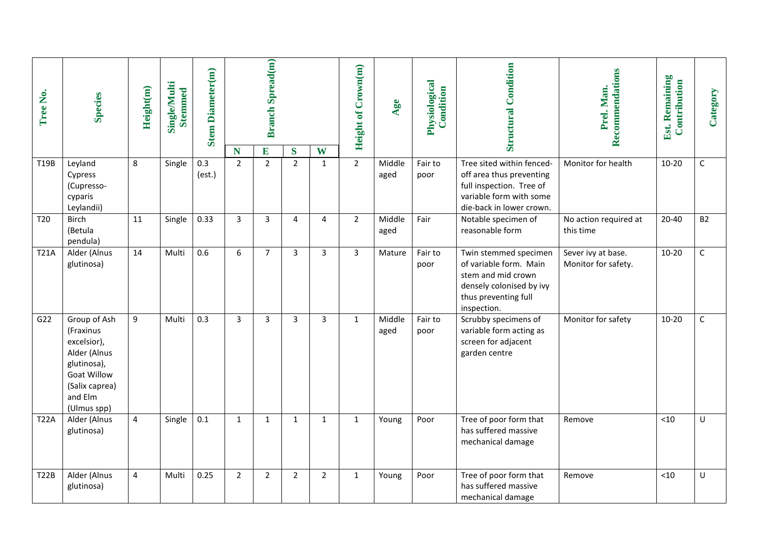| Tree No.        | <b>Species</b>                                                                                                                            | Height(m) | Single/Multi<br><b>Stemmed</b> | <b>Stem Diameter(m)</b> |                     | <b>Branch Spread(m)</b> |                     |                   | <b>Height of Crown(m)</b> | Age            | Physiological<br>Condition | <b>Structural Condition</b>                                                                                                              | Recommendations<br>Prel. Man.             | Est. Remaining<br>Contribution | Category    |
|-----------------|-------------------------------------------------------------------------------------------------------------------------------------------|-----------|--------------------------------|-------------------------|---------------------|-------------------------|---------------------|-------------------|---------------------------|----------------|----------------------------|------------------------------------------------------------------------------------------------------------------------------------------|-------------------------------------------|--------------------------------|-------------|
| T19B            | Leyland<br>Cypress<br>(Cupresso-<br>cyparis<br>Leylandii)                                                                                 | 8         | Single                         | 0.3<br>(est.)           | N<br>$\overline{2}$ | E<br>$\overline{2}$     | S<br>$\overline{2}$ | W<br>$\mathbf{1}$ | $2^{\circ}$               | Middle<br>aged | Fair to<br>poor            | Tree sited within fenced-<br>off area thus preventing<br>full inspection. Tree of<br>variable form with some<br>die-back in lower crown. | Monitor for health                        | $10 - 20$                      | $\mathsf C$ |
| T <sub>20</sub> | Birch<br>(Betula<br>pendula)                                                                                                              | 11        | Single                         | 0.33                    | $\overline{3}$      | $\overline{3}$          | $\overline{4}$      | 4                 | $\overline{2}$            | Middle<br>aged | Fair                       | Notable specimen of<br>reasonable form                                                                                                   | No action required at<br>this time        | $20 - 40$                      | <b>B2</b>   |
| <b>T21A</b>     | Alder (Alnus<br>glutinosa)                                                                                                                | 14        | Multi                          | 0.6                     | 6                   | $\overline{7}$          | $\overline{3}$      | 3                 | 3                         | Mature         | Fair to<br>poor            | Twin stemmed specimen<br>of variable form. Main<br>stem and mid crown<br>densely colonised by ivy<br>thus preventing full<br>inspection. | Sever ivy at base.<br>Monitor for safety. | $10 - 20$                      | $\mathsf C$ |
| G22             | Group of Ash<br>(Fraxinus<br>excelsior),<br>Alder (Alnus<br>glutinosa),<br><b>Goat Willow</b><br>(Salix caprea)<br>and Elm<br>(Ulmus spp) | 9         | Multi                          | 0.3                     | 3                   | 3                       | 3                   | 3                 | $\mathbf{1}$              | Middle<br>aged | Fair to<br>poor            | Scrubby specimens of<br>variable form acting as<br>screen for adjacent<br>garden centre                                                  | Monitor for safety                        | $10 - 20$                      | $\mathsf C$ |
| <b>T22A</b>     | Alder (Alnus<br>glutinosa)                                                                                                                | 4         | Single                         | $0.1\,$                 | $\mathbf{1}$        | $\mathbf{1}$            | $\mathbf{1}$        | $\mathbf{1}$      | $\mathbf{1}$              | Young          | Poor                       | Tree of poor form that<br>has suffered massive<br>mechanical damage                                                                      | Remove                                    | $<10$                          | U           |
| T22B            | Alder (Alnus<br>glutinosa)                                                                                                                | 4         | Multi                          | 0.25                    | $\overline{2}$      | $\overline{2}$          | $\overline{2}$      | $\overline{2}$    | 1                         | Young          | Poor                       | Tree of poor form that<br>has suffered massive<br>mechanical damage                                                                      | Remove                                    | $<$ 10                         | U           |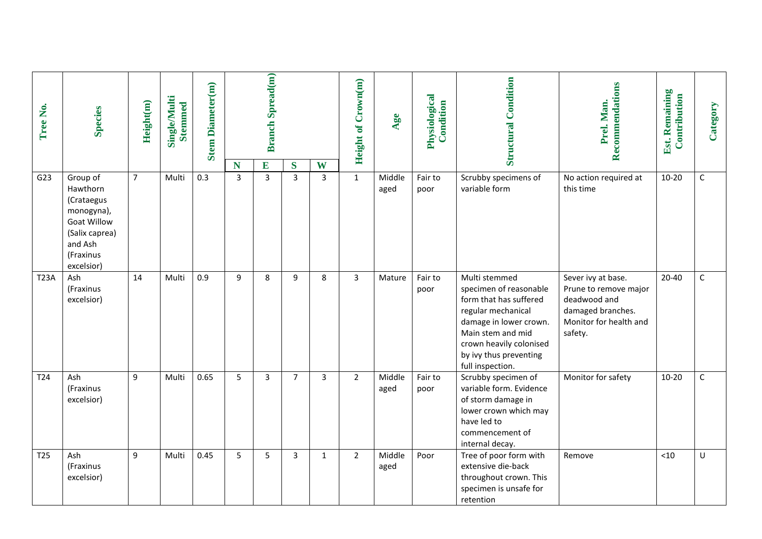| Tree No.        | <b>Species</b>                                                                                                                 | Height(m)      | Single/Multi<br><b>Stemmed</b> | <b>Stem Diameter(m)</b> |                     | <b>Branch Spread(m)</b> |                     |              | <b>Height of Crown(m)</b> | Age            | Physiological<br>Condition | <b>Structural Condition</b>                                                                                                                                                                                     | Recommendations<br>Prel. Man.                                                                                         | Est. Remaining<br>Contribution | Category    |
|-----------------|--------------------------------------------------------------------------------------------------------------------------------|----------------|--------------------------------|-------------------------|---------------------|-------------------------|---------------------|--------------|---------------------------|----------------|----------------------------|-----------------------------------------------------------------------------------------------------------------------------------------------------------------------------------------------------------------|-----------------------------------------------------------------------------------------------------------------------|--------------------------------|-------------|
| G23             | Group of<br>Hawthorn<br>(Crataegus<br>monogyna),<br><b>Goat Willow</b><br>(Salix caprea)<br>and Ash<br>(Fraxinus<br>excelsior) | $\overline{7}$ | Multi                          | 0.3                     | N<br>$\overline{3}$ | E<br>$\overline{3}$     | S<br>$\overline{3}$ | W<br>3       | $\mathbf{1}$              | Middle<br>aged | Fair to<br>poor            | Scrubby specimens of<br>variable form                                                                                                                                                                           | No action required at<br>this time                                                                                    | $10 - 20$                      | $\mathsf C$ |
| <b>T23A</b>     | Ash<br>(Fraxinus<br>excelsior)                                                                                                 | 14             | Multi                          | 0.9                     | 9                   | 8                       | 9                   | 8            | 3                         | Mature         | Fair to<br>poor            | Multi stemmed<br>specimen of reasonable<br>form that has suffered<br>regular mechanical<br>damage in lower crown.<br>Main stem and mid<br>crown heavily colonised<br>by ivy thus preventing<br>full inspection. | Sever ivy at base.<br>Prune to remove major<br>deadwood and<br>damaged branches.<br>Monitor for health and<br>safety. | $20 - 40$                      | $\mathsf C$ |
| T24             | Ash<br>(Fraxinus<br>excelsior)                                                                                                 | 9              | Multi                          | 0.65                    | 5                   | $\overline{3}$          | $\overline{7}$      | 3            | $\overline{2}$            | Middle<br>aged | Fair to<br>poor            | Scrubby specimen of<br>variable form. Evidence<br>of storm damage in<br>lower crown which may<br>have led to<br>commencement of<br>internal decay.                                                              | Monitor for safety                                                                                                    | $10 - 20$                      | $\mathsf C$ |
| T <sub>25</sub> | Ash<br>(Fraxinus<br>excelsior)                                                                                                 | 9              | Multi                          | 0.45                    | 5                   | 5                       | 3                   | $\mathbf{1}$ | $\overline{2}$            | Middle<br>aged | Poor                       | Tree of poor form with<br>extensive die-back<br>throughout crown. This<br>specimen is unsafe for<br>retention                                                                                                   | Remove                                                                                                                | < 10                           | U           |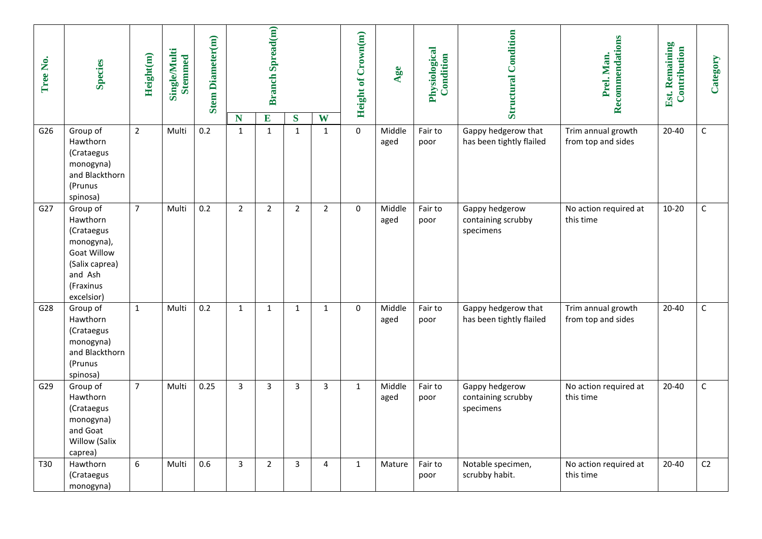| Tree No. | <b>Species</b>                                                                                                                 | Height(m)      | <b>Single/Multi</b><br><b>Stemmed</b> | <b>Stem Diameter(m)</b> | N              | <b>Branch Spread(m)</b><br>E | $\bf S$        | W              | Height of Crown(m) | Age            | Physiological<br>Condition | <b>Structural Condition</b>                       | Recommendations<br>Prel. Man.            | Est. Remaining<br>Contribution | Category    |
|----------|--------------------------------------------------------------------------------------------------------------------------------|----------------|---------------------------------------|-------------------------|----------------|------------------------------|----------------|----------------|--------------------|----------------|----------------------------|---------------------------------------------------|------------------------------------------|--------------------------------|-------------|
| G26      | Group of<br>Hawthorn<br>(Crataegus<br>monogyna)<br>and Blackthorn<br>(Prunus<br>spinosa)                                       | $\overline{2}$ | Multi                                 | 0.2                     | $\mathbf{1}$   | $\mathbf{1}$                 | $\mathbf{1}$   | $\mathbf{1}$   | $\mathbf{0}$       | Middle<br>aged | Fair to<br>poor            | Gappy hedgerow that<br>has been tightly flailed   | Trim annual growth<br>from top and sides | $20 - 40$                      | $\mathsf C$ |
| G27      | Group of<br>Hawthorn<br>(Crataegus<br>monogyna),<br><b>Goat Willow</b><br>(Salix caprea)<br>and Ash<br>(Fraxinus<br>excelsior) | $\overline{7}$ | Multi                                 | 0.2                     | $\overline{2}$ | $\overline{2}$               | $\overline{2}$ | $\overline{2}$ | $\Omega$           | Middle<br>aged | Fair to<br>poor            | Gappy hedgerow<br>containing scrubby<br>specimens | No action required at<br>this time       | $10 - 20$                      | $\mathsf C$ |
| G28      | Group of<br>Hawthorn<br>(Crataegus<br>monogyna)<br>and Blackthorn<br>(Prunus<br>spinosa)                                       | $\mathbf{1}$   | Multi                                 | 0.2                     | $\mathbf{1}$   | $\mathbf{1}$                 | $\mathbf{1}$   | $\mathbf{1}$   | $\mathbf 0$        | Middle<br>aged | Fair to<br>poor            | Gappy hedgerow that<br>has been tightly flailed   | Trim annual growth<br>from top and sides | $20 - 40$                      | $\mathsf C$ |
| G29      | Group of<br>Hawthorn<br>(Crataegus<br>monogyna)<br>and Goat<br>Willow (Salix<br>caprea)                                        | $\overline{7}$ | Multi                                 | 0.25                    | $\overline{3}$ | 3                            | 3              | $\overline{3}$ | $\mathbf{1}$       | Middle<br>aged | Fair to<br>poor            | Gappy hedgerow<br>containing scrubby<br>specimens | No action required at<br>this time       | $20 - 40$                      | $\mathsf C$ |
| T30      | Hawthorn<br>(Crataegus<br>monogyna)                                                                                            | 6              | Multi                                 | 0.6                     | 3              | $\overline{2}$               | 3              | 4              | $\mathbf{1}$       | Mature         | Fair to<br>poor            | Notable specimen,<br>scrubby habit.               | No action required at<br>this time       | 20-40                          | C2          |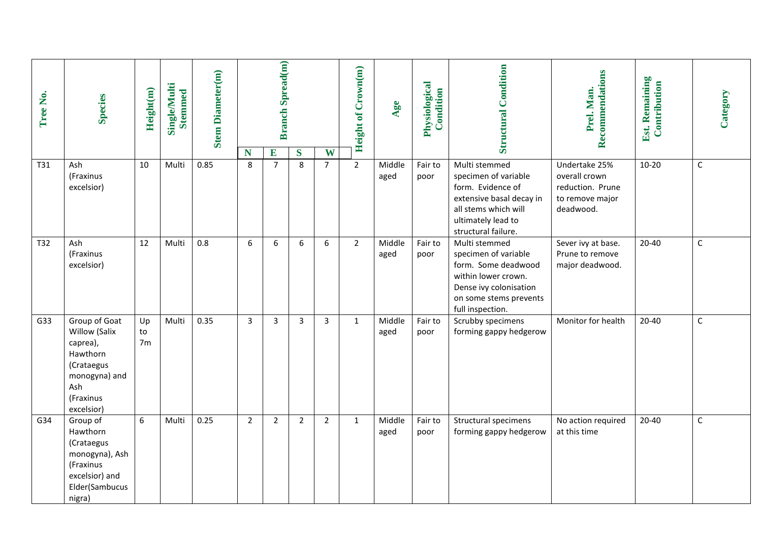| Tree No. | <b>Species</b>                                                                                                          | Height(m)                  | Single/Multi<br><b>Stemmed</b> | <b>Stem Diameter(m)</b> |                | <b>Branch Spread(m)</b> |                |                     | <b>Height of Crown(m)</b> | Age            | Physiological<br>Condition | <b>Structural Condition</b>                                                                                                                                 | Recommendations<br>Prel. Man.                                     | Est. Remaining<br>Contribution | Category    |
|----------|-------------------------------------------------------------------------------------------------------------------------|----------------------------|--------------------------------|-------------------------|----------------|-------------------------|----------------|---------------------|---------------------------|----------------|----------------------------|-------------------------------------------------------------------------------------------------------------------------------------------------------------|-------------------------------------------------------------------|--------------------------------|-------------|
| T31      | Ash                                                                                                                     | 10                         | Multi                          | 0.85                    | N<br>8         | E<br>$\overline{7}$     | S<br>8         | W<br>$\overline{7}$ | $\overline{2}$            | Middle         | Fair to                    | Multi stemmed                                                                                                                                               | Undertake 25%                                                     | $10 - 20$                      | $\mathsf C$ |
|          | (Fraxinus<br>excelsior)                                                                                                 |                            |                                |                         |                |                         |                |                     |                           | aged           | poor                       | specimen of variable<br>form. Evidence of<br>extensive basal decay in<br>all stems which will<br>ultimately lead to<br>structural failure.                  | overall crown<br>reduction. Prune<br>to remove major<br>deadwood. |                                |             |
| T32      | Ash<br>(Fraxinus<br>excelsior)                                                                                          | 12                         | Multi                          | 0.8                     | 6              | 6                       | 6              | 6                   | $\overline{2}$            | Middle<br>aged | Fair to<br>poor            | Multi stemmed<br>specimen of variable<br>form. Some deadwood<br>within lower crown.<br>Dense ivy colonisation<br>on some stems prevents<br>full inspection. | Sever ivy at base.<br>Prune to remove<br>major deadwood.          | $20 - 40$                      | $\mathsf C$ |
| G33      | Group of Goat<br>Willow (Salix<br>caprea),<br>Hawthorn<br>(Crataegus<br>monogyna) and<br>Ash<br>(Fraxinus<br>excelsior) | Up<br>to<br>7 <sub>m</sub> | Multi                          | 0.35                    | 3              | 3                       | 3              | 3                   | $\mathbf{1}$              | Middle<br>aged | Fair to<br>poor            | Scrubby specimens<br>forming gappy hedgerow                                                                                                                 | Monitor for health                                                | $20 - 40$                      | $\mathsf C$ |
| G34      | Group of<br>Hawthorn<br>(Crataegus<br>monogyna), Ash<br>(Fraxinus<br>excelsior) and<br>Elder(Sambucus<br>nigra)         | 6                          | Multi                          | 0.25                    | $\overline{2}$ | $\overline{2}$          | $\overline{2}$ | $\overline{2}$      | $\mathbf{1}$              | Middle<br>aged | Fair to<br>poor            | Structural specimens<br>forming gappy hedgerow                                                                                                              | No action required<br>at this time                                | $20 - 40$                      | $\mathsf C$ |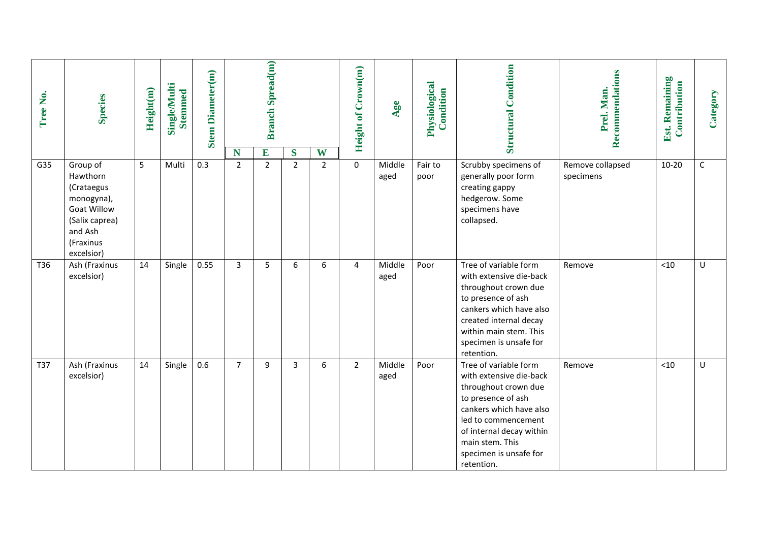| Tree No. | <b>Species</b>                                                                                                                 | Height(m) | <b>Single/Multi</b><br><b>Stemmed</b> | <b>Stem Diameter(m)</b> | N              | <b>Branch Spread(m)</b><br>E | S              | W              | Height of Crown(m) | Age            | Physiological<br>Condition | <b>Structural Condition</b>                                                                                                                                                                                                             | Recommendations<br>Prel. Man. | Est. Remaining<br>Contribution | Category    |
|----------|--------------------------------------------------------------------------------------------------------------------------------|-----------|---------------------------------------|-------------------------|----------------|------------------------------|----------------|----------------|--------------------|----------------|----------------------------|-----------------------------------------------------------------------------------------------------------------------------------------------------------------------------------------------------------------------------------------|-------------------------------|--------------------------------|-------------|
| G35      | Group of<br>Hawthorn<br>(Crataegus<br>monogyna),<br><b>Goat Willow</b><br>(Salix caprea)<br>and Ash<br>(Fraxinus<br>excelsior) | 5         | Multi                                 | 0.3                     | $\overline{2}$ | $\overline{2}$               | $\overline{2}$ | $\overline{2}$ | $\mathbf 0$        | Middle<br>aged | Fair to<br>poor            | Scrubby specimens of<br>generally poor form<br>creating gappy<br>hedgerow. Some<br>specimens have<br>collapsed.                                                                                                                         | Remove collapsed<br>specimens | $10 - 20$                      | $\mathsf C$ |
| T36      | Ash (Fraxinus<br>excelsior)                                                                                                    | 14        | Single                                | 0.55                    | 3              | 5                            | 6              | 6              | $\overline{4}$     | Middle<br>aged | Poor                       | Tree of variable form<br>with extensive die-back<br>throughout crown due<br>to presence of ash<br>cankers which have also<br>created internal decay<br>within main stem. This<br>specimen is unsafe for<br>retention.                   | Remove                        | < 10                           | U           |
| T37      | Ash (Fraxinus<br>excelsior)                                                                                                    | 14        | Single                                | 0.6                     | $\overline{7}$ | 9                            | 3              | 6              | $2^{\circ}$        | Middle<br>aged | Poor                       | Tree of variable form<br>with extensive die-back<br>throughout crown due<br>to presence of ash<br>cankers which have also<br>led to commencement<br>of internal decay within<br>main stem. This<br>specimen is unsafe for<br>retention. | Remove                        | $<10$                          | U           |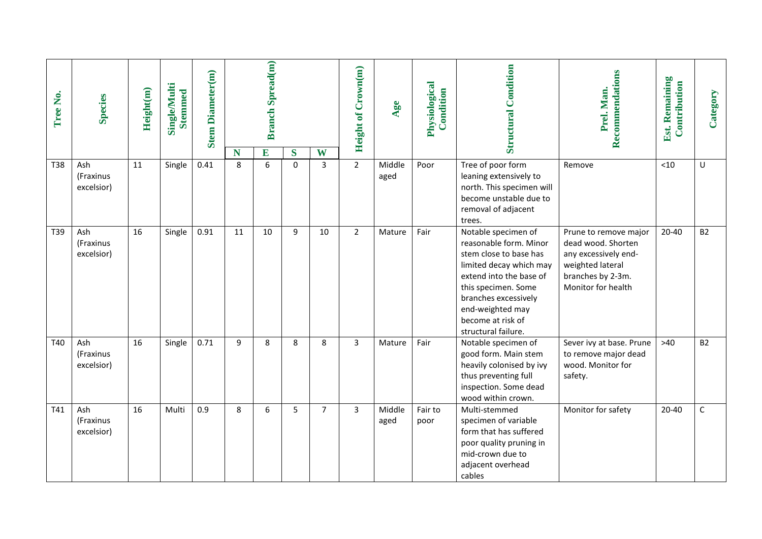| Tree No.   | <b>Species</b>                 | Height(m) | <b>Single/Multi</b><br><b>Stemmed</b> | <b>Stem Diameter(m)</b> | N  | <b>Branch Spread(m)</b><br>E | S           | W  | <b>Height of Crown(m)</b> | Age            | Physiological<br>Condition | <b>Structural Condition</b>                                                                                                                                                                                                                  | Recommendations<br>Prel. Man.                                                                                                      | Est. Remaining<br>Contribution | Category     |
|------------|--------------------------------|-----------|---------------------------------------|-------------------------|----|------------------------------|-------------|----|---------------------------|----------------|----------------------------|----------------------------------------------------------------------------------------------------------------------------------------------------------------------------------------------------------------------------------------------|------------------------------------------------------------------------------------------------------------------------------------|--------------------------------|--------------|
| <b>T38</b> | Ash<br>(Fraxinus<br>excelsior) | 11        | Single                                | 0.41                    | 8  | 6                            | $\mathbf 0$ | 3  | $\overline{2}$            | Middle<br>aged | Poor                       | Tree of poor form<br>leaning extensively to<br>north. This specimen will<br>become unstable due to<br>removal of adjacent<br>trees.                                                                                                          | Remove                                                                                                                             | < 10                           | U            |
| T39        | Ash<br>(Fraxinus<br>excelsior) | 16        | Single                                | 0.91                    | 11 | 10                           | 9           | 10 | $\overline{2}$            | Mature         | Fair                       | Notable specimen of<br>reasonable form. Minor<br>stem close to base has<br>limited decay which may<br>extend into the base of<br>this specimen. Some<br>branches excessively<br>end-weighted may<br>become at risk of<br>structural failure. | Prune to remove major<br>dead wood. Shorten<br>any excessively end-<br>weighted lateral<br>branches by 2-3m.<br>Monitor for health | 20-40                          | <b>B2</b>    |
| T40        | Ash<br>(Fraxinus<br>excelsior) | 16        | Single                                | 0.71                    | 9  | 8                            | 8           | 8  | $\overline{3}$            | Mature         | Fair                       | Notable specimen of<br>good form. Main stem<br>heavily colonised by ivy<br>thus preventing full<br>inspection. Some dead<br>wood within crown.                                                                                               | Sever ivy at base. Prune<br>to remove major dead<br>wood. Monitor for<br>safety.                                                   | $>40$                          | <b>B2</b>    |
| T41        | Ash<br>(Fraxinus<br>excelsior) | 16        | Multi                                 | 0.9                     | 8  | 6                            | 5           | 7  | 3                         | Middle<br>aged | Fair to<br>poor            | Multi-stemmed<br>specimen of variable<br>form that has suffered<br>poor quality pruning in<br>mid-crown due to<br>adjacent overhead<br>cables                                                                                                | Monitor for safety                                                                                                                 | 20-40                          | $\mathsf{C}$ |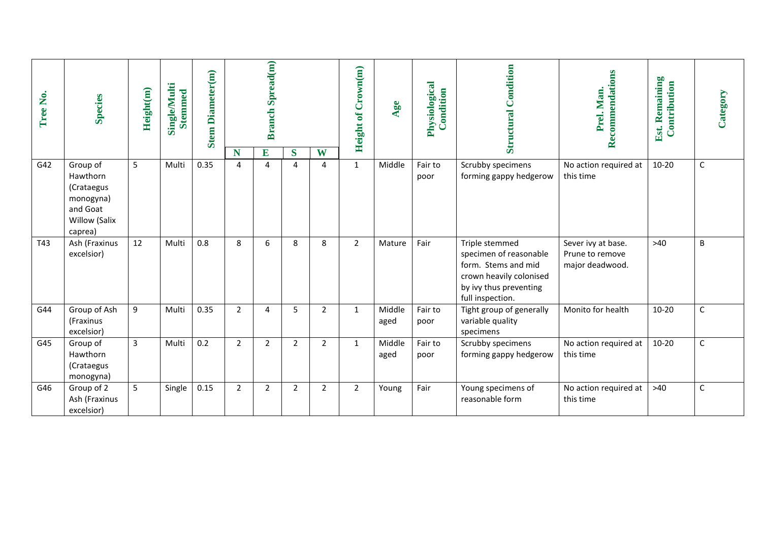| Tree No. | <b>Species</b>                                                                          | Height(m) | <b>Single/Multi</b><br><b>Stemmed</b> | <b>Stem Diameter(m)</b> |                | <b>Branch Spread(m)</b> |        |                | Height of Crown(m) | Age            | Physiological<br>Condition | <b>Structural Condition</b>                                                                                                              | Recommendations<br>Prel. Man.                            | Est. Remaining<br>Contribution | Category     |
|----------|-----------------------------------------------------------------------------------------|-----------|---------------------------------------|-------------------------|----------------|-------------------------|--------|----------------|--------------------|----------------|----------------------------|------------------------------------------------------------------------------------------------------------------------------------------|----------------------------------------------------------|--------------------------------|--------------|
| G42      | Group of<br>Hawthorn<br>(Crataegus<br>monogyna)<br>and Goat<br>Willow (Salix<br>caprea) | 5         | Multi                                 | 0.35                    | N<br>4         | E<br>4                  | S<br>4 | W<br>4         | $\mathbf{1}$       | Middle         | Fair to<br>poor            | Scrubby specimens<br>forming gappy hedgerow                                                                                              | No action required at<br>this time                       | $10 - 20$                      | $\mathsf C$  |
| T43      | Ash (Fraxinus<br>excelsior)                                                             | 12        | Multi                                 | 0.8                     | 8              | 6                       | 8      | 8              | $\overline{2}$     | Mature         | Fair                       | Triple stemmed<br>specimen of reasonable<br>form. Stems and mid<br>crown heavily colonised<br>by ivy thus preventing<br>full inspection. | Sever ivy at base.<br>Prune to remove<br>major deadwood. | $>40$                          | B            |
| G44      | Group of Ash<br>(Fraxinus<br>excelsior)                                                 | 9         | Multi                                 | 0.35                    | $\overline{2}$ | 4                       | 5      | $\overline{2}$ | $\mathbf{1}$       | Middle<br>aged | Fair to<br>poor            | Tight group of generally<br>variable quality<br>specimens                                                                                | Monito for health                                        | $10 - 20$                      | $\mathsf C$  |
| G45      | Group of<br>Hawthorn<br>(Crataegus<br>monogyna)                                         | 3         | Multi                                 | 0.2                     | $\overline{2}$ | $\overline{2}$          | 2      | $\overline{2}$ | $\mathbf{1}$       | Middle<br>aged | Fair to<br>poor            | Scrubby specimens<br>forming gappy hedgerow                                                                                              | No action required at<br>this time                       | $10 - 20$                      | $\mathsf C$  |
| G46      | Group of 2<br>Ash (Fraxinus<br>excelsior)                                               | 5         | Single                                | 0.15                    | $\overline{2}$ | $\overline{2}$          | 2      | $\overline{2}$ | $\overline{2}$     | Young          | Fair                       | Young specimens of<br>reasonable form                                                                                                    | No action required at<br>this time                       | $>40$                          | $\mathsf{C}$ |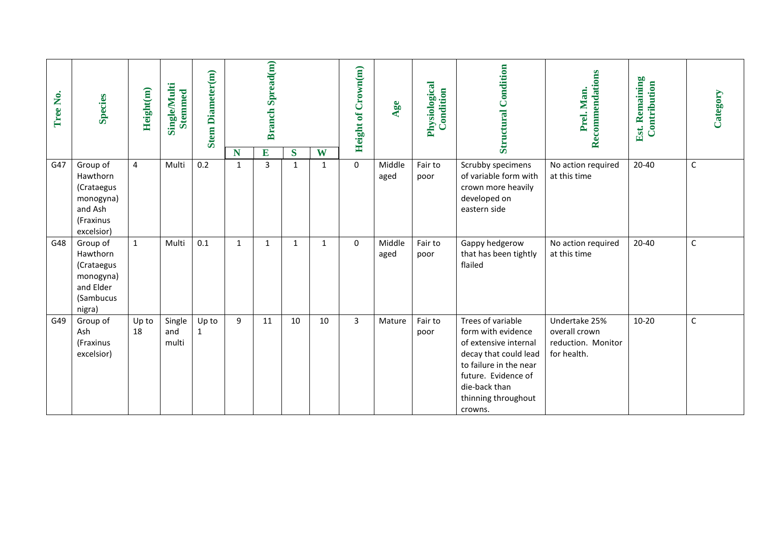| Tree No. | <b>Species</b>                                                                        | Height(m)      | <b>Single/Multi</b><br><b>Stemmed</b> | <b>Stem Diameter(m)</b> | N | <b>Branch Spread(m)</b><br>E | S            | W  | Crown(m)<br>Height of | Age            | Physiological<br>Condition | Condition<br>Structural                                                                                                                                                                       | Recommendations<br>Prel. Man.                                       | Est. Remaining<br>Contribution | Category    |
|----------|---------------------------------------------------------------------------------------|----------------|---------------------------------------|-------------------------|---|------------------------------|--------------|----|-----------------------|----------------|----------------------------|-----------------------------------------------------------------------------------------------------------------------------------------------------------------------------------------------|---------------------------------------------------------------------|--------------------------------|-------------|
| G47      | Group of<br>Hawthorn<br>(Crataegus<br>monogyna)<br>and Ash<br>(Fraxinus<br>excelsior) | $\overline{4}$ | Multi                                 | 0.2                     | 1 | 3                            | $\mathbf{1}$ | 1  | $\mathbf 0$           | Middle<br>aged | Fair to<br>poor            | Scrubby specimens<br>of variable form with<br>crown more heavily<br>developed on<br>eastern side                                                                                              | No action required<br>at this time                                  | $20 - 40$                      | $\mathsf C$ |
| G48      | Group of<br>Hawthorn<br>(Crataegus<br>monogyna)<br>and Elder<br>(Sambucus<br>nigra)   | $\mathbf{1}$   | Multi                                 | 0.1                     | 1 | 1                            | $\mathbf{1}$ | 1  | $\Omega$              | Middle<br>aged | Fair to<br>poor            | Gappy hedgerow<br>that has been tightly<br>flailed                                                                                                                                            | No action required<br>at this time                                  | $20 - 40$                      | $\mathsf C$ |
| G49      | Group of<br>Ash<br>(Fraxinus<br>excelsior)                                            | Up to<br>18    | Single<br>and<br>multi                | Up to<br>1              | 9 | 11                           | 10           | 10 | $\mathbf{3}$          | Mature         | Fair to<br>poor            | Trees of variable<br>form with evidence<br>of extensive internal<br>decay that could lead<br>to failure in the near<br>future. Evidence of<br>die-back than<br>thinning throughout<br>crowns. | Undertake 25%<br>overall crown<br>reduction. Monitor<br>for health. | $10 - 20$                      | $\mathsf C$ |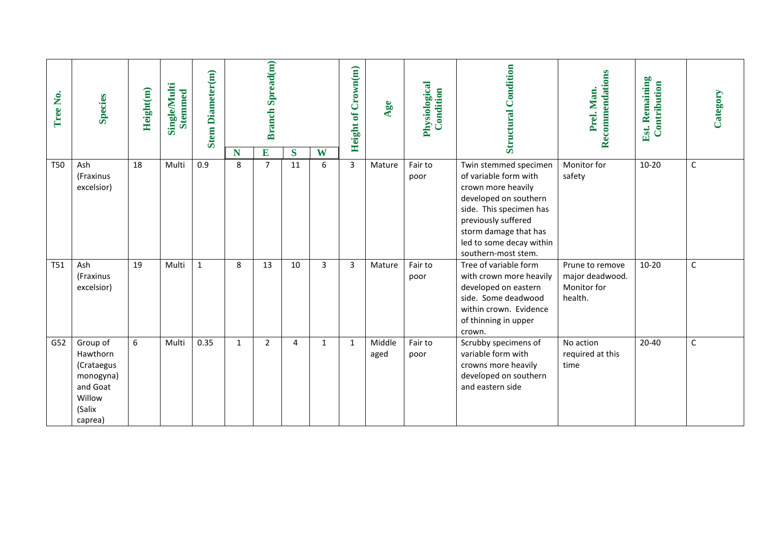| ,<br>Ž<br>Tree | <b>Species</b>                                                                             | Height(m) | Single/Multi<br><b>Stemmed</b> | Diameter(m)<br><b>Stem</b> | N | <b>Branch Spread(m)</b><br>E |         | W | Crown(m)<br>Height of | Age            | Physiological<br>Condition | <b>Structural Condition</b>                                                                                                                                                                                                 | Recommendations<br>Prel. Man.                                | Est. Remaining<br>Contribution | Category     |
|----------------|--------------------------------------------------------------------------------------------|-----------|--------------------------------|----------------------------|---|------------------------------|---------|---|-----------------------|----------------|----------------------------|-----------------------------------------------------------------------------------------------------------------------------------------------------------------------------------------------------------------------------|--------------------------------------------------------------|--------------------------------|--------------|
| <b>T50</b>     | Ash<br>(Fraxinus<br>excelsior)                                                             | 18        | Multi                          | 0.9                        | 8 | $\overline{7}$               | S<br>11 | 6 | $\overline{3}$        | Mature         | Fair to<br>poor            | Twin stemmed specimen<br>of variable form with<br>crown more heavily<br>developed on southern<br>side. This specimen has<br>previously suffered<br>storm damage that has<br>led to some decay within<br>southern-most stem. | Monitor for<br>safety                                        | $10 - 20$                      | $\mathsf C$  |
| T51            | Ash<br>(Fraxinus<br>excelsior)                                                             | 19        | Multi                          | $\mathbf 1$                | 8 | 13                           | 10      | 3 | 3                     | Mature         | Fair to<br>poor            | Tree of variable form<br>with crown more heavily<br>developed on eastern<br>side. Some deadwood<br>within crown. Evidence<br>of thinning in upper<br>crown.                                                                 | Prune to remove<br>major deadwood.<br>Monitor for<br>health. | $10 - 20$                      | $\mathsf{C}$ |
| G52            | Group of<br>Hawthorn<br>(Crataegus<br>monogyna)<br>and Goat<br>Willow<br>(Salix<br>caprea) | $6\,$     | Multi                          | 0.35                       | 1 | 2                            | 4       | 1 | 1                     | Middle<br>aged | Fair to<br>poor            | Scrubby specimens of<br>variable form with<br>crowns more heavily<br>developed on southern<br>and eastern side                                                                                                              | No action<br>required at this<br>time                        | $20 - 40$                      | $\mathsf C$  |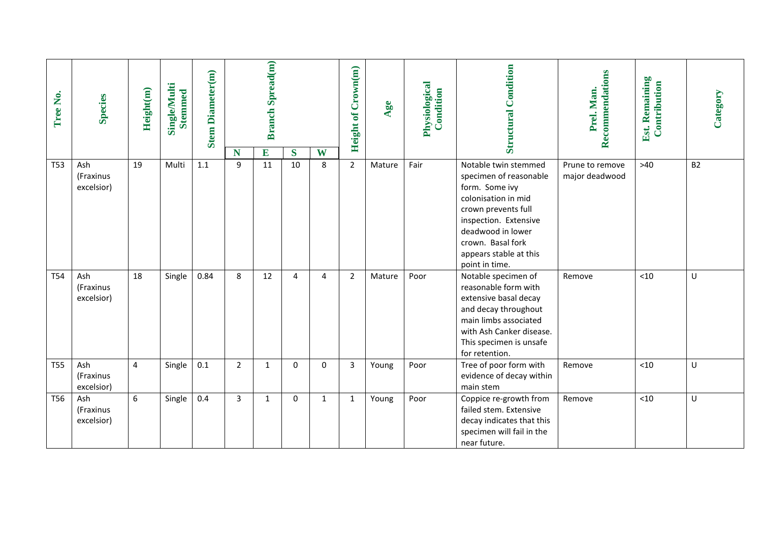| Tree No.        | <b>Species</b>                 | Height(m)      | Single/Multi<br><b>Stemmed</b> | <b>Stem Diameter(m)</b> |                   | <b>Branch Spread(m)</b> |         |                | Height of Crown(m) | Age    | Physiological<br>Condition | <b>Structural Condition</b>                                                                                                                                                                                                   | Recommendations<br>Prel. Man.     | <b>Est. Remaining</b><br>Contribution | Category  |
|-----------------|--------------------------------|----------------|--------------------------------|-------------------------|-------------------|-------------------------|---------|----------------|--------------------|--------|----------------------------|-------------------------------------------------------------------------------------------------------------------------------------------------------------------------------------------------------------------------------|-----------------------------------|---------------------------------------|-----------|
| <b>T53</b>      | Ash<br>(Fraxinus<br>excelsior) | 19             | Multi                          | 1.1                     | N<br>$\mathbf{q}$ | E<br>11                 | S<br>10 | W<br>8         | $2^{\circ}$        | Mature | Fair                       | Notable twin stemmed<br>specimen of reasonable<br>form. Some ivy<br>colonisation in mid<br>crown prevents full<br>inspection. Extensive<br>deadwood in lower<br>crown. Basal fork<br>appears stable at this<br>point in time. | Prune to remove<br>major deadwood | $>40$                                 | <b>B2</b> |
| <b>T54</b>      | Ash<br>(Fraxinus<br>excelsior) | 18             | Single                         | 0.84                    | 8                 | 12                      | 4       | $\overline{4}$ | $\overline{2}$     | Mature | Poor                       | Notable specimen of<br>reasonable form with<br>extensive basal decay<br>and decay throughout<br>main limbs associated<br>with Ash Canker disease.<br>This specimen is unsafe<br>for retention.                                | Remove                            | < 10                                  | U         |
| <b>T55</b>      | Ash<br>(Fraxinus<br>excelsior) | $\overline{4}$ | Single                         | 0.1                     | $\overline{2}$    | $\mathbf{1}$            | 0       | 0              | $\overline{3}$     | Young  | Poor                       | Tree of poor form with<br>evidence of decay within<br>main stem                                                                                                                                                               | Remove                            | < 10                                  | U         |
| T <sub>56</sub> | Ash<br>(Fraxinus<br>excelsior) | $6\phantom{a}$ | Single                         | 0.4                     | $\overline{3}$    | $\mathbf{1}$            | 0       | $\mathbf{1}$   | $\mathbf{1}$       | Young  | Poor                       | Coppice re-growth from<br>failed stem. Extensive<br>decay indicates that this<br>specimen will fail in the<br>near future.                                                                                                    | Remove                            | < 10                                  | U         |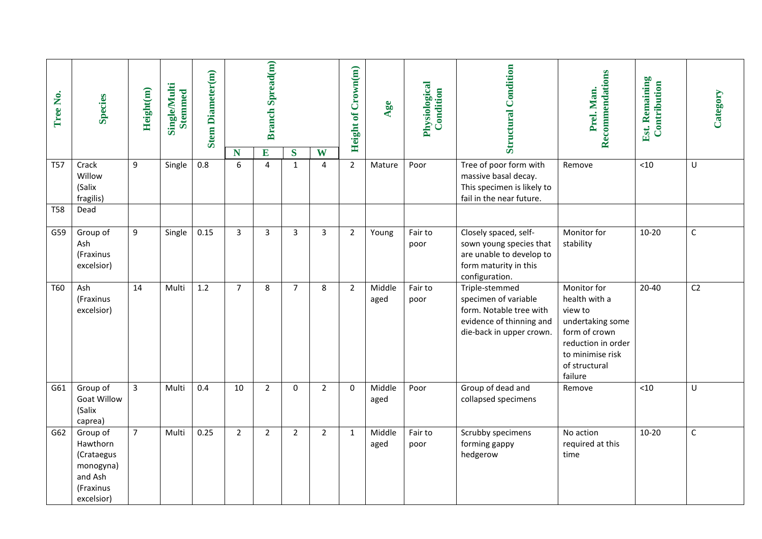| Tree No.   | <b>Species</b>                                                                        | Height(m)      | Single/Multi<br><b>Stemmed</b> | <b>Stem Diameter(m)</b> | N              | <b>Branch Spread(m)</b><br>E | S              | W              | Height of Crown(m) | Age            | Physiological<br>Condition | <b>Structural Condition</b>                                                                                               | Recommendations<br>Prel. Man.                                                                                                                      | Est. Remaining<br>Contribution | Category       |
|------------|---------------------------------------------------------------------------------------|----------------|--------------------------------|-------------------------|----------------|------------------------------|----------------|----------------|--------------------|----------------|----------------------------|---------------------------------------------------------------------------------------------------------------------------|----------------------------------------------------------------------------------------------------------------------------------------------------|--------------------------------|----------------|
| <b>T57</b> | Crack<br>Willow<br>(Salix<br>fragilis)                                                | 9              | Single                         | $0.8\,$                 | 6              | $\overline{4}$               | $\mathbf{1}$   | 4              | $\overline{2}$     | Mature         | Poor                       | Tree of poor form with<br>massive basal decay.<br>This specimen is likely to<br>fail in the near future.                  | Remove                                                                                                                                             | $<10$                          | U              |
| <b>T58</b> | Dead                                                                                  |                |                                |                         |                |                              |                |                |                    |                |                            |                                                                                                                           |                                                                                                                                                    |                                |                |
| G59        | Group of<br>Ash<br>(Fraxinus<br>excelsior)                                            | 9              | Single                         | 0.15                    | $\overline{3}$ | $\overline{3}$               | $\overline{3}$ | $\overline{3}$ | $\overline{2}$     | Young          | Fair to<br>poor            | Closely spaced, self-<br>sown young species that<br>are unable to develop to<br>form maturity in this<br>configuration.   | Monitor for<br>stability                                                                                                                           | $10 - 20$                      | $\mathsf C$    |
| T60        | Ash<br>(Fraxinus<br>excelsior)                                                        | 14             | Multi                          | 1.2                     | $\overline{7}$ | 8                            | $\overline{7}$ | 8              | $\overline{2}$     | Middle<br>aged | Fair to<br>poor            | Triple-stemmed<br>specimen of variable<br>form. Notable tree with<br>evidence of thinning and<br>die-back in upper crown. | Monitor for<br>health with a<br>view to<br>undertaking some<br>form of crown<br>reduction in order<br>to minimise risk<br>of structural<br>failure | $20 - 40$                      | C <sub>2</sub> |
| G61        | Group of<br><b>Goat Willow</b><br>(Salix<br>caprea)                                   | $\overline{3}$ | Multi                          | 0.4                     | 10             | $\overline{2}$               | $\mathbf 0$    | $\overline{2}$ | $\Omega$           | Middle<br>aged | Poor                       | Group of dead and<br>collapsed specimens                                                                                  | Remove                                                                                                                                             | $<10$                          | U              |
| G62        | Group of<br>Hawthorn<br>(Crataegus<br>monogyna)<br>and Ash<br>(Fraxinus<br>excelsior) | $\overline{7}$ | Multi                          | 0.25                    | $\overline{2}$ | $\overline{2}$               | $\overline{2}$ | $2^{\circ}$    | $\mathbf{1}$       | Middle<br>aged | Fair to<br>poor            | Scrubby specimens<br>forming gappy<br>hedgerow                                                                            | No action<br>required at this<br>time                                                                                                              | $10 - 20$                      | $\mathsf{C}$   |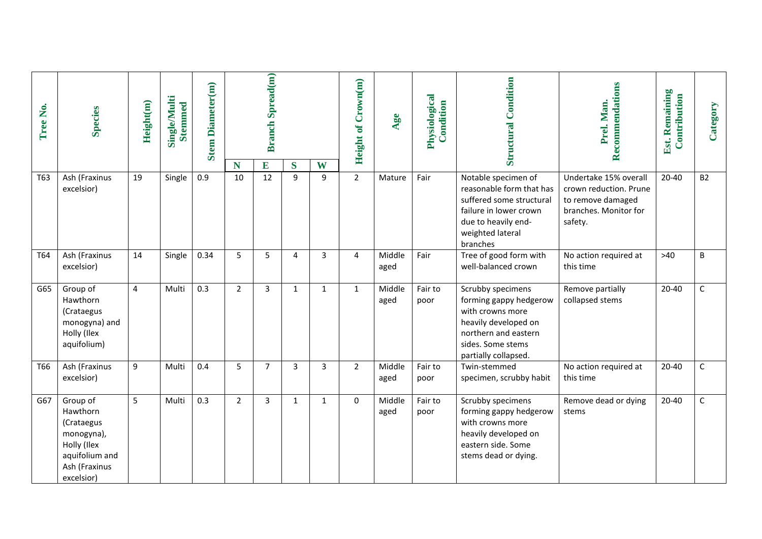| Tree No. | <b>Species</b>                                                                                                   | Height(m)      | <b>Single/Multi</b><br><b>Stemmed</b> | <b>Stem Diameter(m)</b> |                | <b>Branch Spread(m)</b><br>E |                     | W            | Height of Crown(m) | Age            | Physiological<br>Condition | <b>Structural Condition</b>                                                                                                                                  | Recommendations<br>Prel. Man.                                                                            | <b>Est. Remaining</b><br>Contribution | Category     |
|----------|------------------------------------------------------------------------------------------------------------------|----------------|---------------------------------------|-------------------------|----------------|------------------------------|---------------------|--------------|--------------------|----------------|----------------------------|--------------------------------------------------------------------------------------------------------------------------------------------------------------|----------------------------------------------------------------------------------------------------------|---------------------------------------|--------------|
| T63      | Ash (Fraxinus<br>excelsior)                                                                                      | 19             | Single                                | 0.9                     | N<br>10        | 12                           | S<br>$\overline{9}$ | $\mathbf{q}$ | $\overline{2}$     | Mature         | Fair                       | Notable specimen of<br>reasonable form that has<br>suffered some structural<br>failure in lower crown<br>due to heavily end-<br>weighted lateral<br>branches | Undertake 15% overall<br>crown reduction. Prune<br>to remove damaged<br>branches. Monitor for<br>safety. | $20 - 40$                             | <b>B2</b>    |
| T64      | Ash (Fraxinus<br>excelsior)                                                                                      | 14             | Single                                | 0.34                    | 5              | 5                            | $\overline{4}$      | 3            | 4                  | Middle<br>aged | Fair                       | Tree of good form with<br>well-balanced crown                                                                                                                | No action required at<br>this time                                                                       | $>40$                                 | B            |
| G65      | Group of<br>Hawthorn<br>(Crataegus<br>monogyna) and<br>Holly (Ilex<br>aquifolium)                                | $\overline{4}$ | Multi                                 | 0.3                     | $\overline{2}$ | $\overline{3}$               | $\mathbf{1}$        | $\mathbf{1}$ | $\mathbf{1}$       | Middle<br>aged | Fair to<br>poor            | Scrubby specimens<br>forming gappy hedgerow<br>with crowns more<br>heavily developed on<br>northern and eastern<br>sides. Some stems<br>partially collapsed. | Remove partially<br>collapsed stems                                                                      | $20 - 40$                             | $\mathsf{C}$ |
| T66      | Ash (Fraxinus<br>excelsior)                                                                                      | 9              | Multi                                 | 0.4                     | 5              | $\overline{7}$               | 3                   | 3            | $\overline{2}$     | Middle<br>aged | Fair to<br>poor            | Twin-stemmed<br>specimen, scrubby habit                                                                                                                      | No action required at<br>this time                                                                       | $20 - 40$                             | $\mathsf{C}$ |
| G67      | Group of<br>Hawthorn<br>(Crataegus<br>monogyna),<br>Holly (Ilex<br>aquifolium and<br>Ash (Fraxinus<br>excelsior) | 5              | Multi                                 | 0.3                     | $\overline{2}$ | 3                            | $\mathbf{1}$        | $\mathbf{1}$ | $\mathbf{0}$       | Middle<br>aged | Fair to<br>poor            | Scrubby specimens<br>forming gappy hedgerow<br>with crowns more<br>heavily developed on<br>eastern side. Some<br>stems dead or dying.                        | Remove dead or dying<br>stems                                                                            | $20 - 40$                             | $\mathsf{C}$ |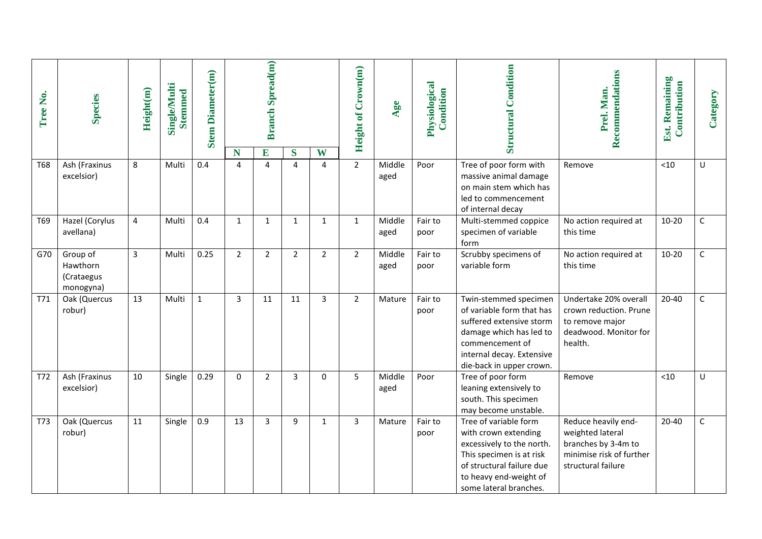| Tree No.   | <b>Species</b>                                  | Height(m)      | <b>Single/Multi</b><br><b>Stemmed</b> | <b>Stem Diameter(m)</b> |                     | <b>Branch Spread(m)</b> |                               |                | <b>Height of Crown(m)</b> | Age            | Physiological<br>Condition | <b>Structural Condition</b>                                                                                                                                                             | Recommendations<br>Prel. Man.                                                                                    | Est. Remaining<br>Contribution | Category    |
|------------|-------------------------------------------------|----------------|---------------------------------------|-------------------------|---------------------|-------------------------|-------------------------------|----------------|---------------------------|----------------|----------------------------|-----------------------------------------------------------------------------------------------------------------------------------------------------------------------------------------|------------------------------------------------------------------------------------------------------------------|--------------------------------|-------------|
| <b>T68</b> | Ash (Fraxinus                                   | 8              | Multi                                 | 0.4                     | N<br>$\overline{4}$ | E<br>$\overline{a}$     | $\mathbf S$<br>$\overline{4}$ | W<br>4         | $\overline{2}$            | Middle         | Poor                       | Tree of poor form with                                                                                                                                                                  |                                                                                                                  | $<10$                          | U           |
|            | excelsior)                                      |                |                                       |                         |                     |                         |                               |                |                           | aged           |                            | massive animal damage<br>on main stem which has<br>led to commencement<br>of internal decay                                                                                             | Remove                                                                                                           |                                |             |
| T69        | Hazel (Corylus<br>avellana)                     | 4              | Multi                                 | 0.4                     | $\mathbf{1}$        | $\mathbf{1}$            | $\mathbf{1}$                  | $\mathbf{1}$   | $\mathbf{1}$              | Middle<br>aged | Fair to<br>poor            | Multi-stemmed coppice<br>specimen of variable<br>form                                                                                                                                   | No action required at<br>this time                                                                               | $10 - 20$                      | $\mathsf C$ |
| G70        | Group of<br>Hawthorn<br>(Crataegus<br>monogyna) | $\overline{3}$ | Multi                                 | 0.25                    | $\overline{2}$      | $\overline{2}$          | $\overline{2}$                | $\overline{2}$ | $\overline{2}$            | Middle<br>aged | Fair to<br>poor            | Scrubby specimens of<br>variable form                                                                                                                                                   | No action required at<br>this time                                                                               | $10 - 20$                      | $\mathsf C$ |
| T71        | Oak (Quercus<br>robur)                          | 13             | Multi                                 | $\mathbf{1}$            | 3                   | 11                      | 11                            | 3              | $\overline{2}$            | Mature         | Fair to<br>poor            | Twin-stemmed specimen<br>of variable form that has<br>suffered extensive storm<br>damage which has led to<br>commencement of<br>internal decay. Extensive<br>die-back in upper crown.   | Undertake 20% overall<br>crown reduction. Prune<br>to remove major<br>deadwood. Monitor for<br>health.           | $20 - 40$                      | $\mathsf C$ |
| T72        | Ash (Fraxinus<br>excelsior)                     | 10             | Single                                | 0.29                    | $\mathbf 0$         | $\overline{2}$          | $\overline{3}$                | $\Omega$       | 5                         | Middle<br>aged | Poor                       | Tree of poor form<br>leaning extensively to<br>south. This specimen<br>may become unstable.                                                                                             | Remove                                                                                                           | < 10                           | U           |
| <b>T73</b> | Oak (Quercus<br>robur)                          | 11             | Single                                | 0.9                     | 13                  | $\overline{3}$          | 9                             | 1              | 3                         | Mature         | Fair to<br>poor            | Tree of variable form<br>with crown extending<br>excessively to the north.<br>This specimen is at risk<br>of structural failure due<br>to heavy end-weight of<br>some lateral branches. | Reduce heavily end-<br>weighted lateral<br>branches by 3-4m to<br>minimise risk of further<br>structural failure | $20 - 40$                      | $\mathsf C$ |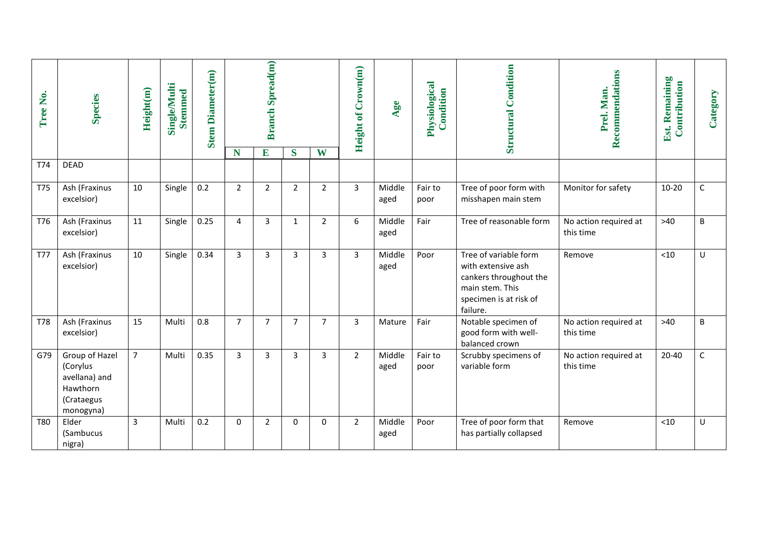| Tree No.   | <b>Species</b>                                                                     | Height(m)      | Single/Multi<br><b>Stemmed</b> | <b>Stem Diameter(m)</b> |                | <b>Branch Spread(m)</b> |                |                | <b>Height of Crown(m)</b> | <b>ge</b><br>◀ | Physiological<br>Condition | <b>Structural Condition</b>                                                                                                    | Recommendations<br>Prel. Man.      | Est. Remaining<br>Contribution | Category    |
|------------|------------------------------------------------------------------------------------|----------------|--------------------------------|-------------------------|----------------|-------------------------|----------------|----------------|---------------------------|----------------|----------------------------|--------------------------------------------------------------------------------------------------------------------------------|------------------------------------|--------------------------------|-------------|
|            |                                                                                    |                |                                |                         | N              | E                       | S              | W              |                           |                |                            |                                                                                                                                |                                    |                                |             |
| T74        | <b>DEAD</b>                                                                        |                |                                |                         |                |                         |                |                |                           |                |                            |                                                                                                                                |                                    |                                |             |
| <b>T75</b> | Ash (Fraxinus<br>excelsior)                                                        | 10             | Single                         | 0.2                     | $\overline{2}$ | $\overline{2}$          | $\overline{2}$ | $\overline{2}$ | 3                         | Middle<br>aged | Fair to<br>poor            | Tree of poor form with<br>misshapen main stem                                                                                  | Monitor for safety                 | $10 - 20$                      | $\mathsf C$ |
| T76        | Ash (Fraxinus<br>excelsior)                                                        | 11             | Single                         | 0.25                    | $\overline{4}$ | $\overline{3}$          | $\mathbf{1}$   | $\overline{2}$ | 6                         | Middle<br>aged | Fair                       | Tree of reasonable form                                                                                                        | No action required at<br>this time | $>40$                          | B           |
| <b>T77</b> | Ash (Fraxinus<br>excelsior)                                                        | 10             | Single                         | 0.34                    | $\mathbf{3}$   | 3                       | 3              | 3              | 3                         | Middle<br>aged | Poor                       | Tree of variable form<br>with extensive ash<br>cankers throughout the<br>main stem. This<br>specimen is at risk of<br>failure. | Remove                             | < 10                           | U           |
| T78        | Ash (Fraxinus<br>excelsior)                                                        | 15             | Multi                          | 0.8                     | $\overline{7}$ | $\overline{7}$          | $\overline{7}$ | $\overline{7}$ | 3                         | Mature         | Fair                       | Notable specimen of<br>good form with well-<br>balanced crown                                                                  | No action required at<br>this time | $>40$                          | B           |
| G79        | Group of Hazel<br>(Corylus<br>avellana) and<br>Hawthorn<br>(Crataegus<br>monogyna) | $\overline{7}$ | Multi                          | 0.35                    | $\overline{3}$ | $\overline{3}$          | $\overline{3}$ | 3              | $\overline{2}$            | Middle<br>aged | Fair to<br>poor            | Scrubby specimens of<br>variable form                                                                                          | No action required at<br>this time | $20 - 40$                      | $\mathsf C$ |
| <b>T80</b> | Elder<br>(Sambucus<br>nigra)                                                       | 3              | Multi                          | 0.2                     | $\mathbf 0$    | $\overline{2}$          | $\mathbf 0$    | 0              | $\overline{2}$            | Middle<br>aged | Poor                       | Tree of poor form that<br>has partially collapsed                                                                              | Remove                             | $<$ 10                         | U           |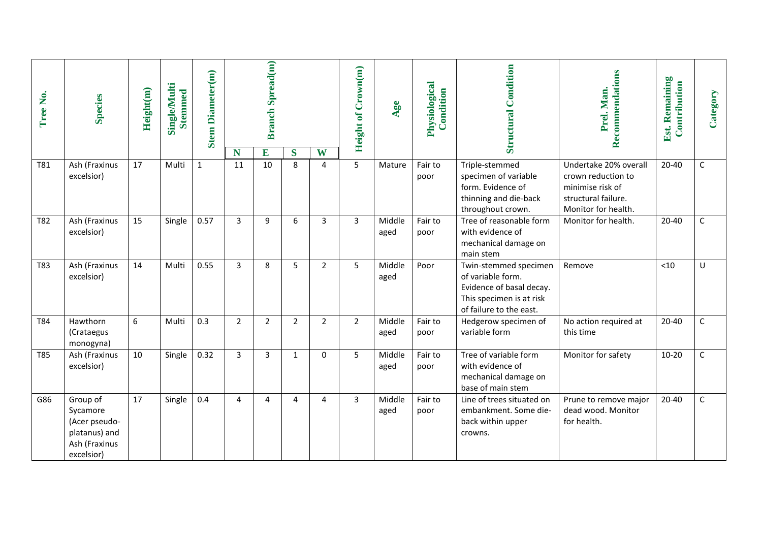| Tree No.   | <b>Species</b>                                                                        | Height(m) | Single/Multi<br><b>Stemmed</b> | <b>Stem Diameter(m)</b> |                | <b>Branch Spread(m)</b> |                |                | <b>Height of Crown(m)</b> | 98             | Physiological<br>Condition | <b>Structural Condition</b>                                                                                                   | Recommendations<br>Prel. Man.                                  | Est. Remaining<br>Contribution | Category     |
|------------|---------------------------------------------------------------------------------------|-----------|--------------------------------|-------------------------|----------------|-------------------------|----------------|----------------|---------------------------|----------------|----------------------------|-------------------------------------------------------------------------------------------------------------------------------|----------------------------------------------------------------|--------------------------------|--------------|
| T81        | Ash (Fraxinus<br>excelsior)                                                           | 17        | Multi                          | $\mathbf{1}$            | N<br>11        | E<br>10                 | S<br>8         | W<br>4         | 5                         | Mature         | Fair to<br>poor            | Triple-stemmed<br>specimen of variable                                                                                        | Undertake 20% overall<br>crown reduction to                    | 20-40                          | $\mathsf C$  |
|            |                                                                                       |           |                                |                         |                |                         |                |                |                           |                |                            | form. Evidence of<br>thinning and die-back<br>throughout crown.                                                               | minimise risk of<br>structural failure.<br>Monitor for health. |                                |              |
| T82        | Ash (Fraxinus<br>excelsior)                                                           | 15        | Single                         | 0.57                    | 3              | 9                       | 6              | 3              | 3                         | Middle<br>aged | Fair to<br>poor            | Tree of reasonable form<br>with evidence of<br>mechanical damage on<br>main stem                                              | Monitor for health.                                            | $20 - 40$                      | $\mathsf C$  |
| T83        | Ash (Fraxinus<br>excelsior)                                                           | 14        | Multi                          | 0.55                    | 3              | 8                       | 5              | $\overline{2}$ | 5                         | Middle<br>aged | Poor                       | Twin-stemmed specimen<br>of variable form.<br>Evidence of basal decay.<br>This specimen is at risk<br>of failure to the east. | Remove                                                         | $<$ 10                         | U            |
| T84        | Hawthorn<br>(Crataegus<br>monogyna)                                                   | 6         | Multi                          | 0.3                     | $\overline{2}$ | $\overline{2}$          | $\overline{2}$ | $\overline{2}$ | $\overline{2}$            | Middle<br>aged | Fair to<br>poor            | Hedgerow specimen of<br>variable form                                                                                         | No action required at<br>this time                             | 20-40                          | $\mathsf{C}$ |
| <b>T85</b> | Ash (Fraxinus<br>excelsior)                                                           | 10        | Single                         | 0.32                    | 3              | 3                       | 1              | $\Omega$       | 5                         | Middle<br>aged | Fair to<br>poor            | Tree of variable form<br>with evidence of<br>mechanical damage on<br>base of main stem                                        | Monitor for safety                                             | $10 - 20$                      | $\mathsf C$  |
| G86        | Group of<br>Sycamore<br>(Acer pseudo-<br>platanus) and<br>Ash (Fraxinus<br>excelsior) | 17        | Single                         | 0.4                     | 4              | 4                       | 4              | 4              | 3                         | Middle<br>aged | Fair to<br>poor            | Line of trees situated on<br>embankment. Some die-<br>back within upper<br>crowns.                                            | Prune to remove major<br>dead wood. Monitor<br>for health.     | 20-40                          | $\mathsf C$  |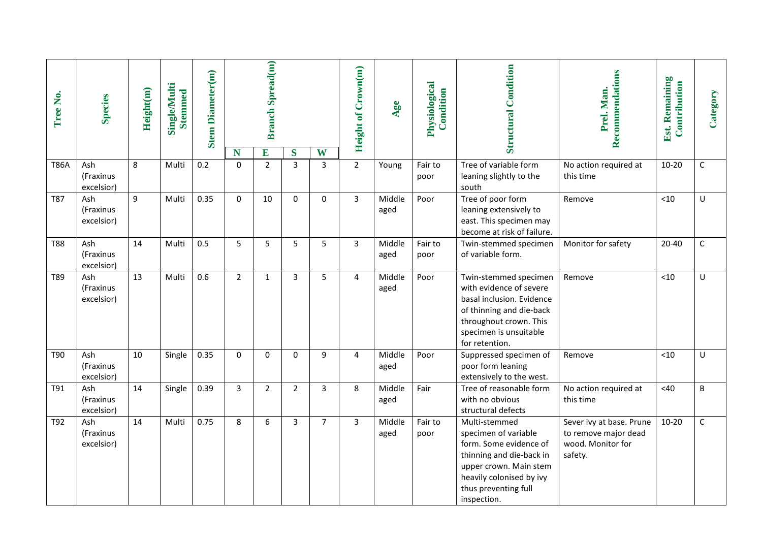| Tree No.    | <b>Species</b>                 | Height(m) | <b>Single/Multi</b><br><b>Stemmed</b> | <b>Stem Diameter(m)</b> |                   | <b>Branch Spread(m)</b> |             |                | Height of Crown(m) | Age            | Physiological<br>Condition | <b>Structural Condition</b>                                                                                                                                                              | Recommendations<br>Prel. Man.                                                    | <b>Est. Remaining</b><br>Contribution | Category    |
|-------------|--------------------------------|-----------|---------------------------------------|-------------------------|-------------------|-------------------------|-------------|----------------|--------------------|----------------|----------------------------|------------------------------------------------------------------------------------------------------------------------------------------------------------------------------------------|----------------------------------------------------------------------------------|---------------------------------------|-------------|
| <b>T86A</b> | Ash                            | 8         | Multi                                 | 0.2                     | N<br>$\mathbf{0}$ | E<br>$\overline{2}$     | S           | W              | $\overline{2}$     |                |                            | Tree of variable form                                                                                                                                                                    |                                                                                  | $10 - 20$                             |             |
|             | (Fraxinus<br>excelsior)        |           |                                       |                         |                   |                         | 3           | 3              |                    | Young          | Fair to<br>poor            | leaning slightly to the<br>south                                                                                                                                                         | No action required at<br>this time                                               |                                       | $\mathsf C$ |
| <b>T87</b>  | Ash<br>(Fraxinus<br>excelsior) | 9         | Multi                                 | 0.35                    | $\Omega$          | 10                      | $\Omega$    | $\bf 0$        | $\overline{3}$     | Middle<br>aged | Poor                       | Tree of poor form<br>leaning extensively to<br>east. This specimen may<br>become at risk of failure.                                                                                     | Remove                                                                           | < 10                                  | $\sf U$     |
| <b>T88</b>  | Ash<br>(Fraxinus<br>excelsior) | 14        | Multi                                 | 0.5                     | 5                 | 5                       | 5           | 5              | $\overline{3}$     | Middle<br>aged | Fair to<br>poor            | Twin-stemmed specimen<br>of variable form.                                                                                                                                               | Monitor for safety                                                               | $20 - 40$                             | $\mathsf C$ |
| T89         | Ash<br>(Fraxinus<br>excelsior) | 13        | Multi                                 | 0.6                     | $\overline{2}$    | $\mathbf{1}$            | 3           | 5              | 4                  | Middle<br>aged | Poor                       | Twin-stemmed specimen<br>with evidence of severe<br>basal inclusion. Evidence<br>of thinning and die-back<br>throughout crown. This<br>specimen is unsuitable<br>for retention.          | Remove                                                                           | $<10$                                 | U           |
| T90         | Ash<br>(Fraxinus<br>excelsior) | 10        | Single                                | 0.35                    | $\mathbf 0$       | $\mathbf 0$             | $\mathbf 0$ | 9              | 4                  | Middle<br>aged | Poor                       | Suppressed specimen of<br>poor form leaning<br>extensively to the west.                                                                                                                  | Remove                                                                           | $<10$                                 | $\sf U$     |
| T91         | Ash<br>(Fraxinus<br>excelsior) | 14        | Single                                | 0.39                    | 3                 | $\overline{2}$          | 2           | 3              | 8                  | Middle<br>aged | Fair                       | Tree of reasonable form<br>with no obvious<br>structural defects                                                                                                                         | No action required at<br>this time                                               | <40                                   | $\sf B$     |
| T92         | Ash<br>(Fraxinus<br>excelsior) | 14        | Multi                                 | 0.75                    | 8                 | 6                       | 3           | $\overline{7}$ | $\overline{3}$     | Middle<br>aged | Fair to<br>poor            | Multi-stemmed<br>specimen of variable<br>form. Some evidence of<br>thinning and die-back in<br>upper crown. Main stem<br>heavily colonised by ivy<br>thus preventing full<br>inspection. | Sever ivy at base. Prune<br>to remove major dead<br>wood. Monitor for<br>safety. | $10 - 20$                             | $\mathsf C$ |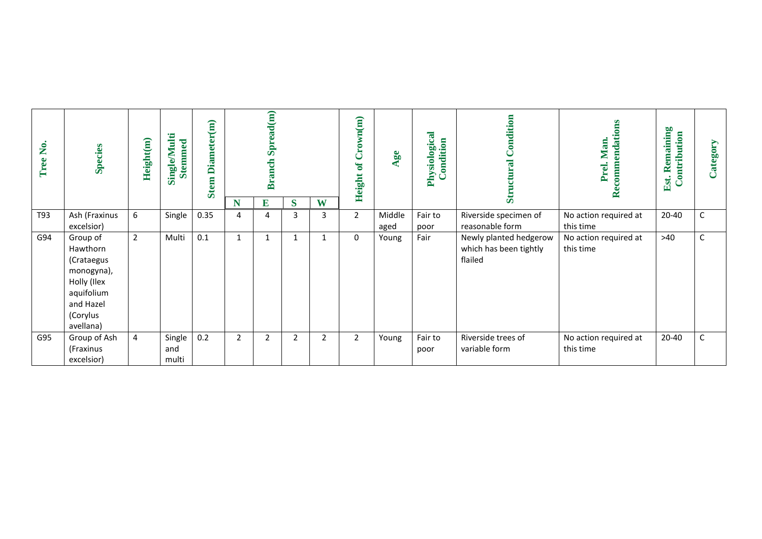| Tree No. | <b>Species</b>                                                                                                      | Height(m)      | <b>Single/Multi</b><br><b>Stemmed</b> | Diameter(m)<br><b>Stem</b> |                | Spread(m)<br><b>Branch</b> |                |   | Crown(m)<br>$\mathbf{d}$<br><b>Height</b> | 96             | Physiological<br>ondition | Condition<br>ral<br>Ē<br>$\overline{\mathbf{s}}$            | Recommendations<br>Prel. Man       | Remaining<br>Contribution<br>Est. | Category    |
|----------|---------------------------------------------------------------------------------------------------------------------|----------------|---------------------------------------|----------------------------|----------------|----------------------------|----------------|---|-------------------------------------------|----------------|---------------------------|-------------------------------------------------------------|------------------------------------|-----------------------------------|-------------|
|          |                                                                                                                     |                |                                       |                            | N              | E                          | S              | W |                                           |                |                           |                                                             |                                    |                                   |             |
| T93      | Ash (Fraxinus<br>excelsior)                                                                                         | 6              | Single                                | 0.35                       | 4              | 4                          | $\overline{3}$ | 3 | $\overline{2}$                            | Middle<br>aged | Fair to<br>poor           | Riverside specimen of<br>reasonable form                    | No action required at<br>this time | 20-40                             | $\mathsf C$ |
| G94      | Group of<br>Hawthorn<br>(Crataegus<br>monogyna),<br>Holly (Ilex<br>aquifolium<br>and Hazel<br>(Corylus<br>avellana) | $\overline{2}$ | Multi                                 | 0.1                        | 1              |                            | $\mathbf{1}$   |   | $\mathbf 0$                               | Young          | Fair                      | Newly planted hedgerow<br>which has been tightly<br>flailed | No action required at<br>this time | >40                               | $\mathsf C$ |
| G95      | Group of Ash<br>(Fraxinus<br>excelsior)                                                                             | 4              | Single<br>and<br>multi                | 0.2                        | $\overline{2}$ | 2                          | $\overline{2}$ | 2 | $\overline{2}$                            | Young          | Fair to<br>poor           | Riverside trees of<br>variable form                         | No action required at<br>this time | 20-40                             | C           |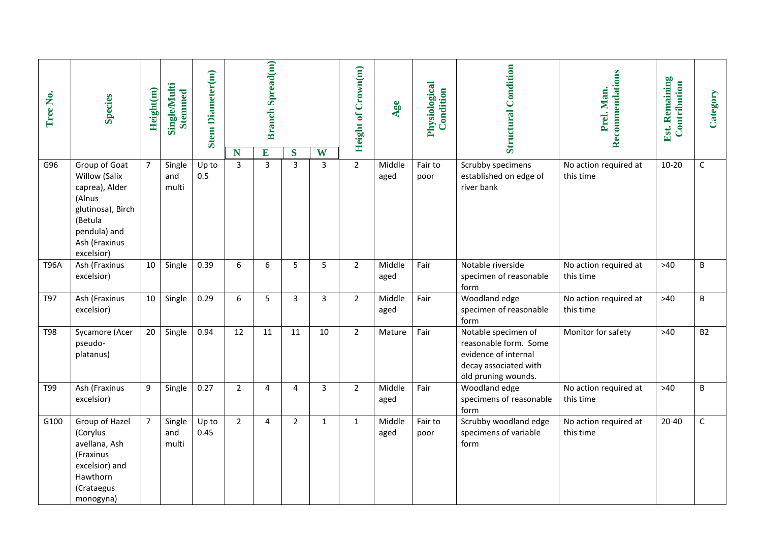| Tree No.    | <b>Species</b>                                                                                                                            | Height(m)      | <b>Single/Multi</b><br><b>Stemmed</b> | <b>Stem Diameter(m)</b> |                | <b>Branch Spread(m)</b> |                |                | <b>Height of Crown(m)</b> | Age            | Physiological<br>Condition | <b>Structural Condition</b>                                                                                          | Recommendations<br>Prel. Man.      | Est. Remaining<br>Contribution | Category    |
|-------------|-------------------------------------------------------------------------------------------------------------------------------------------|----------------|---------------------------------------|-------------------------|----------------|-------------------------|----------------|----------------|---------------------------|----------------|----------------------------|----------------------------------------------------------------------------------------------------------------------|------------------------------------|--------------------------------|-------------|
|             |                                                                                                                                           |                |                                       |                         | N              | $\mathbf E$             | S              | W              |                           |                |                            |                                                                                                                      |                                    |                                |             |
| G96         | Group of Goat<br>Willow (Salix<br>caprea), Alder<br>(Alnus<br>glutinosa), Birch<br>(Betula<br>pendula) and<br>Ash (Fraxinus<br>excelsior) | $\overline{7}$ | Single<br>and<br>multi                | Up to<br>0.5            | $\overline{3}$ | $\overline{3}$          | $\overline{3}$ | $\overline{3}$ | $\overline{2}$            | Middle<br>aged | Fair to<br>poor            | Scrubby specimens<br>established on edge of<br>river bank                                                            | No action required at<br>this time | $10 - 20$                      | $\mathsf C$ |
| <b>T96A</b> | Ash (Fraxinus<br>excelsior)                                                                                                               | 10             | Single                                | 0.39                    | 6              | 6                       | 5              | 5              | $\overline{2}$            | Middle<br>aged | Fair                       | Notable riverside<br>specimen of reasonable<br>form                                                                  | No action required at<br>this time | $>40$                          | B           |
| T97         | Ash (Fraxinus<br>excelsior)                                                                                                               | 10             | Single                                | 0.29                    | 6              | 5                       | $\overline{3}$ | 3              | $\overline{2}$            | Middle<br>aged | Fair                       | Woodland edge<br>specimen of reasonable<br>form                                                                      | No action required at<br>this time | $>40$                          | B           |
| T98         | Sycamore (Acer<br>pseudo-<br>platanus)                                                                                                    | 20             | Single                                | 0.94                    | 12             | 11                      | 11             | 10             | $\overline{2}$            | Mature         | Fair                       | Notable specimen of<br>reasonable form. Some<br>evidence of internal<br>decay associated with<br>old pruning wounds. | Monitor for safety                 | $>40$                          | <b>B2</b>   |
| T99         | Ash (Fraxinus<br>excelsior)                                                                                                               | 9              | Single                                | 0.27                    | $\overline{2}$ | 4                       | 4              | 3              | $\overline{2}$            | Middle<br>aged | Fair                       | Woodland edge<br>specimens of reasonable<br>form                                                                     | No action required at<br>this time | $>40$                          | B           |
| G100        | Group of Hazel<br>(Corylus<br>avellana, Ash<br>(Fraxinus<br>excelsior) and<br>Hawthorn<br>(Crataegus<br>monogyna)                         | $\overline{7}$ | Single<br>and<br>multi                | Up to<br>0.45           | $\overline{2}$ | 4                       | $\overline{2}$ | $\mathbf{1}$   | $\mathbf{1}$              | Middle<br>aged | Fair to<br>poor            | Scrubby woodland edge<br>specimens of variable<br>form                                                               | No action required at<br>this time | $20 - 40$                      | $\mathsf C$ |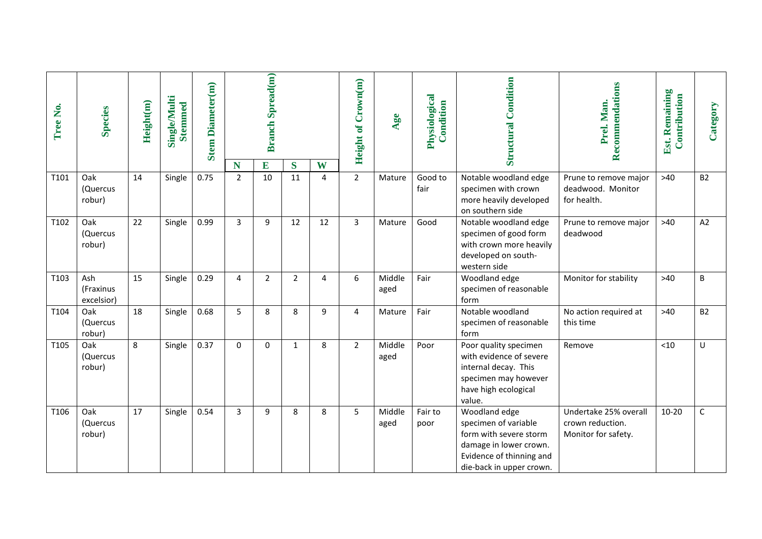| Tree No. | <b>Species</b>                 | Height(m) | <b>Single/Multi</b><br><b>Stemmed</b> | <b>Stem Diameter(m)</b> |                     | <b>Branch Spread(m)</b> |                |        | <b>Height of Crown(m)</b> | Age            | Physiological<br>Condition | Condition<br>Structural                                                                                                                           | Recommendations<br>Prel. Man.                                    | Est. Remaining<br>Contribution | Category     |
|----------|--------------------------------|-----------|---------------------------------------|-------------------------|---------------------|-------------------------|----------------|--------|---------------------------|----------------|----------------------------|---------------------------------------------------------------------------------------------------------------------------------------------------|------------------------------------------------------------------|--------------------------------|--------------|
| T101     | Oak                            | 14        | Single                                | 0.75                    | N<br>$\overline{2}$ | E<br>10                 | $\bf S$<br>11  | W<br>4 | $\overline{2}$            | Mature         | Good to                    | Notable woodland edge                                                                                                                             | Prune to remove major                                            | $>40$                          | <b>B2</b>    |
|          | (Quercus<br>robur)             |           |                                       |                         |                     |                         |                |        |                           |                | fair                       | specimen with crown<br>more heavily developed<br>on southern side                                                                                 | deadwood. Monitor<br>for health.                                 |                                |              |
| T102     | Oak<br>(Quercus<br>robur)      | 22        | Single                                | 0.99                    | 3                   | 9                       | 12             | 12     | $\overline{3}$            | Mature         | Good                       | Notable woodland edge<br>specimen of good form<br>with crown more heavily<br>developed on south-<br>western side                                  | Prune to remove major<br>deadwood                                | $>40$                          | A2           |
| T103     | Ash<br>(Fraxinus<br>excelsior) | 15        | Single                                | 0.29                    | 4                   | $\overline{2}$          | $\overline{2}$ | 4      | 6                         | Middle<br>aged | Fair                       | Woodland edge<br>specimen of reasonable<br>form                                                                                                   | Monitor for stability                                            | $>40$                          | B            |
| T104     | Oak<br>(Quercus<br>robur)      | 18        | Single                                | 0.68                    | 5                   | 8                       | 8              | 9      | 4                         | Mature         | Fair                       | Notable woodland<br>specimen of reasonable<br>form                                                                                                | No action required at<br>this time                               | $>40$                          | <b>B2</b>    |
| T105     | Oak<br>(Quercus<br>robur)      | 8         | Single                                | 0.37                    | $\mathbf 0$         | $\mathbf 0$             | $\mathbf{1}$   | 8      | $\overline{2}$            | Middle<br>aged | Poor                       | Poor quality specimen<br>with evidence of severe<br>internal decay. This<br>specimen may however<br>have high ecological<br>value.                | Remove                                                           | < 10                           | U            |
| T106     | Oak<br>(Quercus<br>robur)      | 17        | Single                                | 0.54                    | 3                   | 9                       | 8              | 8      | 5                         | Middle<br>aged | Fair to<br>poor            | Woodland edge<br>specimen of variable<br>form with severe storm<br>damage in lower crown.<br>Evidence of thinning and<br>die-back in upper crown. | Undertake 25% overall<br>crown reduction.<br>Monitor for safety. | $10 - 20$                      | $\mathsf{C}$ |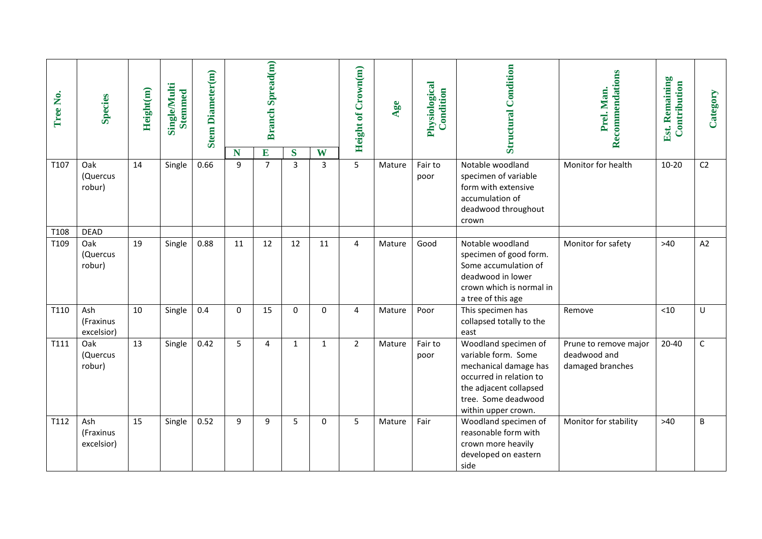| Tree No.     | <b>Species</b>                           | Height(m) | <b>Single/Multi</b><br><b>Stemmed</b> | <b>Stem Diameter(m)</b> | N           | <b>Branch Spread(m)</b><br>E | S              | W              | Height of Crown(m) | Age    | Physiological<br>Condition | <b>Structural Condition</b>                                                                                                                                             | Recommendations<br>Prel. Man.                             | Est. Remaining<br>Contribution | Category |
|--------------|------------------------------------------|-----------|---------------------------------------|-------------------------|-------------|------------------------------|----------------|----------------|--------------------|--------|----------------------------|-------------------------------------------------------------------------------------------------------------------------------------------------------------------------|-----------------------------------------------------------|--------------------------------|----------|
| T107         | Oak<br>(Quercus<br>robur)                | 14        | Single                                | 0.66                    | 9           | $\overline{7}$               | $\overline{3}$ | $\overline{3}$ | 5                  | Mature | Fair to<br>poor            | Notable woodland<br>specimen of variable<br>form with extensive<br>accumulation of<br>deadwood throughout<br>crown                                                      | Monitor for health                                        | $10 - 20$                      | C2       |
| T108<br>T109 | <b>DEAD</b><br>Oak<br>(Quercus<br>robur) | 19        | Single                                | 0.88                    | 11          | 12                           | 12             | 11             | 4                  | Mature | Good                       | Notable woodland<br>specimen of good form.<br>Some accumulation of<br>deadwood in lower<br>crown which is normal in<br>a tree of this age                               | Monitor for safety                                        | $>40$                          | A2       |
| T110         | Ash<br>(Fraxinus<br>excelsior)           | 10        | Single                                | 0.4                     | $\mathbf 0$ | 15                           | 0              | 0              | 4                  | Mature | Poor                       | This specimen has<br>collapsed totally to the<br>east                                                                                                                   | Remove                                                    | < 10                           | U        |
| T111         | Oak<br>(Quercus<br>robur)                | 13        | Single                                | 0.42                    | 5           | 4                            | $\mathbf{1}$   | $\mathbf{1}$   | $\overline{2}$     | Mature | Fair to<br>poor            | Woodland specimen of<br>variable form. Some<br>mechanical damage has<br>occurred in relation to<br>the adjacent collapsed<br>tree. Some deadwood<br>within upper crown. | Prune to remove major<br>deadwood and<br>damaged branches | $20 - 40$                      | C        |
| T112         | Ash<br>(Fraxinus<br>excelsior)           | 15        | Single                                | 0.52                    | 9           | 9                            | 5              | 0              | 5                  | Mature | Fair                       | Woodland specimen of<br>reasonable form with<br>crown more heavily<br>developed on eastern<br>side                                                                      | Monitor for stability                                     | $>40$                          | B        |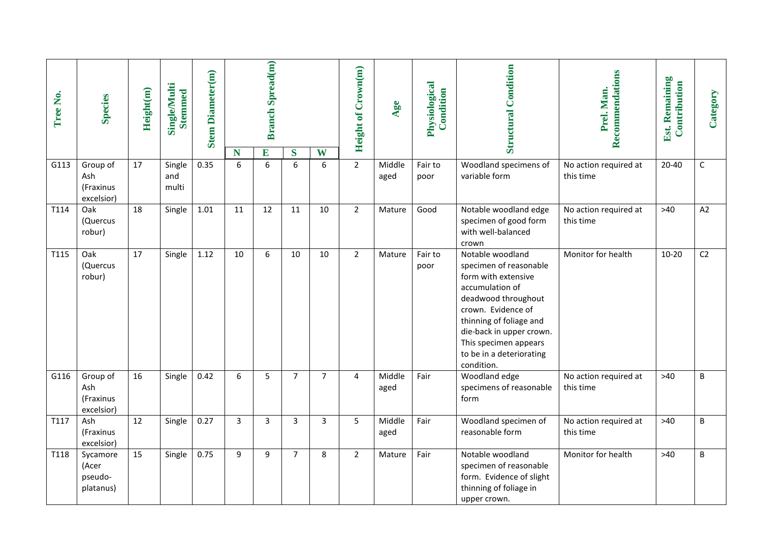| Tree No. | <b>Species</b>                             | Height(m) | Single/Multi<br><b>Stemmed</b> | <b>Stem Diameter(m)</b> |                | <b>Branch Spread(m)</b> |                |                | Height of Crown(m) | Age            | Physiological<br>Condition | Condition<br>Structural                                                                                                                                                                                                                                     | Recommendations<br>Prel. Man.      | Est. Remaining<br>Contribution | Category       |
|----------|--------------------------------------------|-----------|--------------------------------|-------------------------|----------------|-------------------------|----------------|----------------|--------------------|----------------|----------------------------|-------------------------------------------------------------------------------------------------------------------------------------------------------------------------------------------------------------------------------------------------------------|------------------------------------|--------------------------------|----------------|
|          |                                            |           |                                |                         | N              | E                       | S              | W              |                    |                |                            |                                                                                                                                                                                                                                                             |                                    |                                |                |
| G113     | Group of<br>Ash<br>(Fraxinus<br>excelsior) | 17        | Single<br>and<br>multi         | 0.35                    | 6              | 6                       | 6              | 6              | $2^{\circ}$        | Middle<br>aged | Fair to<br>poor            | Woodland specimens of<br>variable form                                                                                                                                                                                                                      | No action required at<br>this time | $20 - 40$                      | $\mathsf C$    |
| T114     | Oak<br>(Quercus<br>robur)                  | 18        | Single                         | 1.01                    | 11             | 12                      | 11             | 10             | $\overline{2}$     | Mature         | Good                       | Notable woodland edge<br>specimen of good form<br>with well-balanced<br>crown                                                                                                                                                                               | No action required at<br>this time | $>40$                          | A2             |
| T115     | Oak<br>(Quercus<br>robur)                  | 17        | Single                         | 1.12                    | 10             | 6                       | 10             | 10             | $\overline{2}$     | Mature         | Fair to<br>poor            | Notable woodland<br>specimen of reasonable<br>form with extensive<br>accumulation of<br>deadwood throughout<br>crown. Evidence of<br>thinning of foliage and<br>die-back in upper crown.<br>This specimen appears<br>to be in a deteriorating<br>condition. | Monitor for health                 | $10 - 20$                      | C <sub>2</sub> |
| G116     | Group of<br>Ash<br>(Fraxinus<br>excelsior) | 16        | Single                         | 0.42                    | 6              | 5                       | $\overline{7}$ | $\overline{7}$ | 4                  | Middle<br>aged | Fair                       | Woodland edge<br>specimens of reasonable<br>form                                                                                                                                                                                                            | No action required at<br>this time | $>40$                          | $\sf B$        |
| T117     | Ash<br>(Fraxinus<br>excelsior)             | 12        | Single                         | 0.27                    | $\overline{3}$ | $\overline{3}$          | 3              | 3              | 5                  | Middle<br>aged | Fair                       | Woodland specimen of<br>reasonable form                                                                                                                                                                                                                     | No action required at<br>this time | $>40$                          | B              |
| T118     | Sycamore<br>(Acer<br>pseudo-<br>platanus)  | 15        | Single                         | 0.75                    | 9              | 9                       | $\overline{7}$ | 8              | $\overline{2}$     | Mature         | Fair                       | Notable woodland<br>specimen of reasonable<br>form. Evidence of slight<br>thinning of foliage in<br>upper crown.                                                                                                                                            | Monitor for health                 | $>40$                          | B              |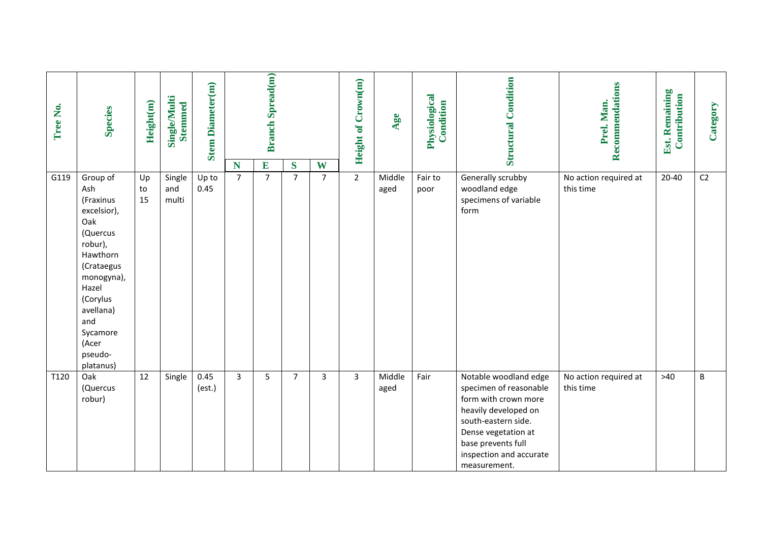| Tree No. | <b>Species</b>                                                                                                                                                                                          | Height(m)              | Single/Multi<br><b>Stemmed</b> | <b>Stem Diameter(m)</b> |                     | <b>Branch Spread(m)</b>          |                           |                     | Height of Crown(m) | Age            | Physiological<br>Condition | <b>Structural Condition</b>                                                                                                                                                                                    | Recommendations<br>Prel. Man.      | Est. Remaining<br>Contribution | Category       |
|----------|---------------------------------------------------------------------------------------------------------------------------------------------------------------------------------------------------------|------------------------|--------------------------------|-------------------------|---------------------|----------------------------------|---------------------------|---------------------|--------------------|----------------|----------------------------|----------------------------------------------------------------------------------------------------------------------------------------------------------------------------------------------------------------|------------------------------------|--------------------------------|----------------|
| G119     | Group of<br>Ash<br>(Fraxinus<br>excelsior),<br>Oak<br>(Quercus<br>robur),<br>Hawthorn<br>(Crataegus<br>monogyna),<br>Hazel<br>(Corylus<br>avellana)<br>and<br>Sycamore<br>(Acer<br>pseudo-<br>platanus) | Up<br>${\sf to}$<br>15 | Single<br>and<br>multi         | Up to<br>0.45           | N<br>$\overline{7}$ | $\overline{E}$<br>$\overline{7}$ | $\bf S$<br>$\overline{7}$ | W<br>$\overline{7}$ | $\overline{2}$     | Middle<br>aged | Fair to<br>poor            | Generally scrubby<br>woodland edge<br>specimens of variable<br>form                                                                                                                                            | No action required at<br>this time | $20 - 40$                      | C <sub>2</sub> |
| T120     | Oak<br>(Quercus<br>robur)                                                                                                                                                                               | 12                     | Single                         | 0.45<br>(est.)          | $\overline{3}$      | 5                                | $\overline{7}$            | 3                   | $\mathbf{3}$       | Middle<br>aged | Fair                       | Notable woodland edge<br>specimen of reasonable<br>form with crown more<br>heavily developed on<br>south-eastern side.<br>Dense vegetation at<br>base prevents full<br>inspection and accurate<br>measurement. | No action required at<br>this time | $>40$                          | $\sf B$        |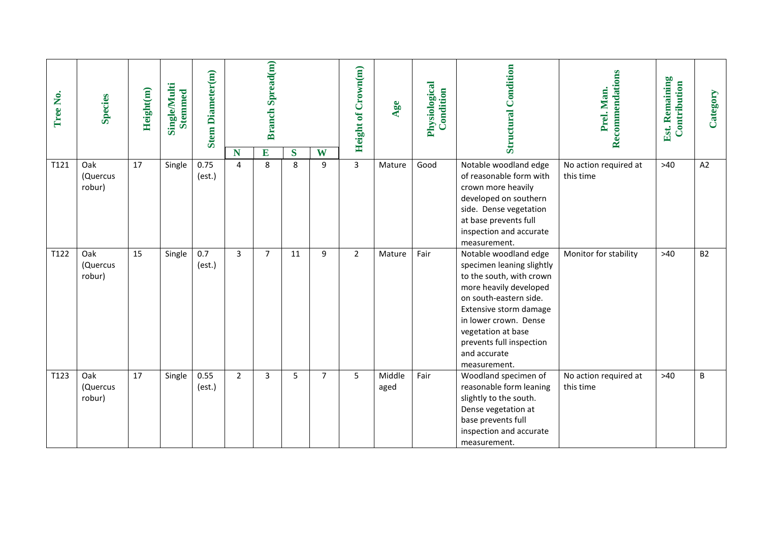| Tree No. | <b>Species</b>            | Height(m) | <b>Single/Multi</b><br><b>Stemmed</b> | <b>Stem Diameter(m)</b> |                     | <b>Branch Spread(m)</b> |        |                | Height of Crown(m) | Age            | Physiological<br>Condition | <b>Structural Condition</b>                                                                                                                                                                                                                                             | Recommendations<br>Prel. Man.      | Est. Remaining<br>Contribution | Category  |
|----------|---------------------------|-----------|---------------------------------------|-------------------------|---------------------|-------------------------|--------|----------------|--------------------|----------------|----------------------------|-------------------------------------------------------------------------------------------------------------------------------------------------------------------------------------------------------------------------------------------------------------------------|------------------------------------|--------------------------------|-----------|
| T121     | Oak<br>(Quercus<br>robur) | 17        | Single                                | 0.75<br>(est.)          | N<br>$\overline{4}$ | E<br>8                  | S<br>8 | W<br>9         | $\overline{3}$     | Mature         | Good                       | Notable woodland edge<br>of reasonable form with<br>crown more heavily<br>developed on southern<br>side. Dense vegetation<br>at base prevents full<br>inspection and accurate<br>measurement.                                                                           | No action required at<br>this time | $>40$                          | A2        |
| T122     | Oak<br>(Quercus<br>robur) | 15        | Single                                | 0.7<br>(est.)           | $\overline{3}$      | $\overline{7}$          | 11     | 9              | $\overline{2}$     | Mature         | Fair                       | Notable woodland edge<br>specimen leaning slightly<br>to the south, with crown<br>more heavily developed<br>on south-eastern side.<br>Extensive storm damage<br>in lower crown. Dense<br>vegetation at base<br>prevents full inspection<br>and accurate<br>measurement. | Monitor for stability              | $>40$                          | <b>B2</b> |
| T123     | Oak<br>(Quercus<br>robur) | 17        | Single                                | 0.55<br>(est.)          | $\overline{2}$      | 3                       | 5      | $\overline{7}$ | 5                  | Middle<br>aged | Fair                       | Woodland specimen of<br>reasonable form leaning<br>slightly to the south.<br>Dense vegetation at<br>base prevents full<br>inspection and accurate<br>measurement.                                                                                                       | No action required at<br>this time | $>40$                          | $\sf B$   |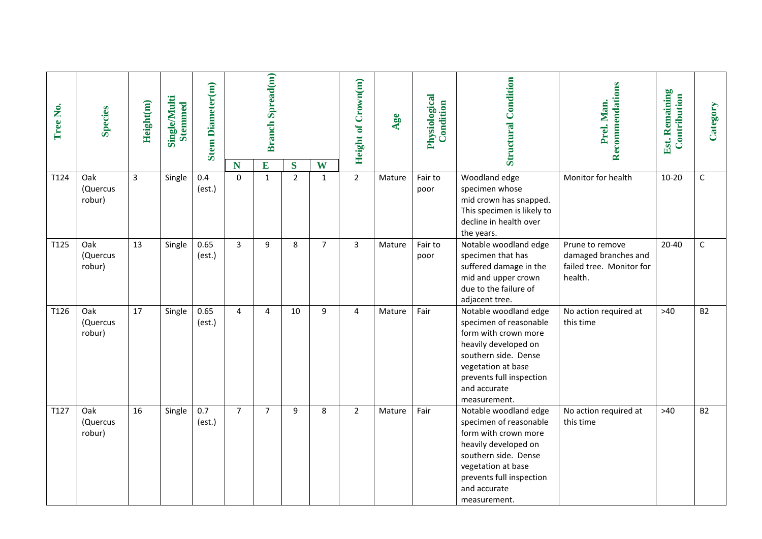| Tree No. | <b>Species</b>            | Height(m)    | <b>Single/Multi</b><br><b>Stemmed</b> | <b>Stem Diameter(m)</b> |                | <b>Branch Spread(m)</b> |                           |                   | <b>Height of Crown(m)</b> | Age    | Physiological<br>Condition | <b>Structural Condition</b>                                                                                                                                                                               | Recommendations<br>Prel. Man.                                                  | Est. Remaining<br>Contribution | Category    |
|----------|---------------------------|--------------|---------------------------------------|-------------------------|----------------|-------------------------|---------------------------|-------------------|---------------------------|--------|----------------------------|-----------------------------------------------------------------------------------------------------------------------------------------------------------------------------------------------------------|--------------------------------------------------------------------------------|--------------------------------|-------------|
| T124     | Oak<br>(Quercus<br>robur) | $\mathbf{3}$ | Single                                | 0.4<br>(est.)           | N<br>$\Omega$  | E<br>$\mathbf{1}$       | $\bf S$<br>$\overline{2}$ | W<br>$\mathbf{1}$ | $\overline{2}$            | Mature | Fair to<br>poor            | Woodland edge<br>specimen whose<br>mid crown has snapped.<br>This specimen is likely to<br>decline in health over<br>the years.                                                                           | Monitor for health                                                             | $10 - 20$                      | $\mathsf C$ |
| T125     | Oak<br>(Quercus<br>robur) | 13           | Single                                | 0.65<br>(est.)          | $\overline{3}$ | 9                       | 8                         | $\overline{7}$    | $\overline{3}$            | Mature | Fair to<br>poor            | Notable woodland edge<br>specimen that has<br>suffered damage in the<br>mid and upper crown<br>due to the failure of<br>adjacent tree.                                                                    | Prune to remove<br>damaged branches and<br>failed tree. Monitor for<br>health. | $20 - 40$                      | $\mathsf C$ |
| T126     | Oak<br>(Quercus<br>robur) | 17           | Single                                | 0.65<br>(est.)          | $\overline{4}$ | 4                       | 10                        | 9                 | 4                         | Mature | Fair                       | Notable woodland edge<br>specimen of reasonable<br>form with crown more<br>heavily developed on<br>southern side. Dense<br>vegetation at base<br>prevents full inspection<br>and accurate<br>measurement. | No action required at<br>this time                                             | $>40$                          | <b>B2</b>   |
| T127     | Oak<br>(Quercus<br>robur) | 16           | Single                                | 0.7<br>(est.)           | $\overline{7}$ | $\overline{7}$          | 9                         | 8                 | $\overline{2}$            | Mature | Fair                       | Notable woodland edge<br>specimen of reasonable<br>form with crown more<br>heavily developed on<br>southern side. Dense<br>vegetation at base<br>prevents full inspection<br>and accurate<br>measurement. | No action required at<br>this time                                             | $>40$                          | <b>B2</b>   |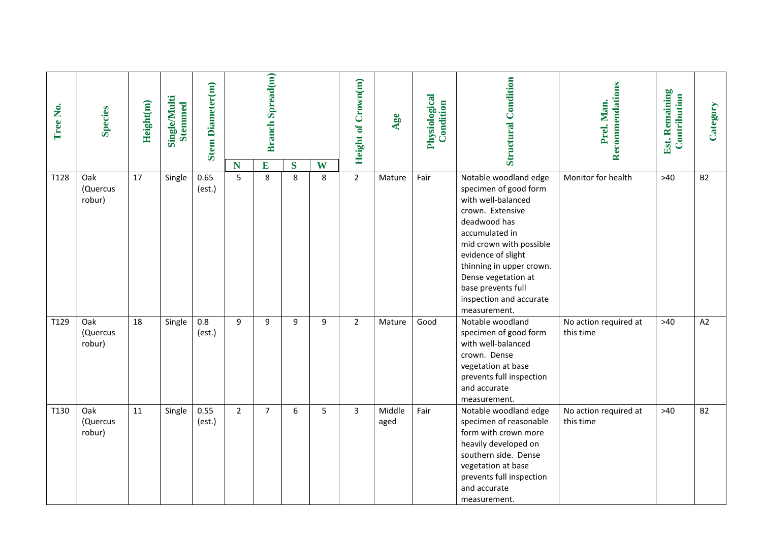| Tree No. | <b>Species</b>            | Height(m) | Single/Multi<br><b>Stemmed</b> | <b>Stem Diameter(m)</b> | N              | <b>Branch Spread(m)</b><br>E | S | W | <b>Height of Crown(m)</b> | Age            | Physiological<br>Condition | <b>Structural Condition</b>                                                                                                                                                                                                                                                                     | Recommendations<br>Prel. Man.      | Est. Remaining<br>Contribution | Category  |
|----------|---------------------------|-----------|--------------------------------|-------------------------|----------------|------------------------------|---|---|---------------------------|----------------|----------------------------|-------------------------------------------------------------------------------------------------------------------------------------------------------------------------------------------------------------------------------------------------------------------------------------------------|------------------------------------|--------------------------------|-----------|
| T128     | Oak<br>(Quercus<br>robur) | 17        | Single                         | 0.65<br>(est.)          | 5              | 8                            | 8 | 8 | $\overline{2}$            | Mature         | Fair                       | Notable woodland edge<br>specimen of good form<br>with well-balanced<br>crown. Extensive<br>deadwood has<br>accumulated in<br>mid crown with possible<br>evidence of slight<br>thinning in upper crown.<br>Dense vegetation at<br>base prevents full<br>inspection and accurate<br>measurement. | Monitor for health                 | $>40$                          | <b>B2</b> |
| T129     | Oak<br>(Quercus<br>robur) | 18        | Single                         | 0.8<br>(est.)           | 9              | 9                            | 9 | 9 | $\overline{2}$            | Mature         | Good                       | Notable woodland<br>specimen of good form<br>with well-balanced<br>crown. Dense<br>vegetation at base<br>prevents full inspection<br>and accurate<br>measurement.                                                                                                                               | No action required at<br>this time | $>40$                          | A2        |
| T130     | Oak<br>(Quercus<br>robur) | 11        | Single                         | 0.55<br>(est.)          | $\overline{2}$ | $\overline{7}$               | 6 | 5 | $\overline{3}$            | Middle<br>aged | Fair                       | Notable woodland edge<br>specimen of reasonable<br>form with crown more<br>heavily developed on<br>southern side. Dense<br>vegetation at base<br>prevents full inspection<br>and accurate<br>measurement.                                                                                       | No action required at<br>this time | $>40$                          | <b>B2</b> |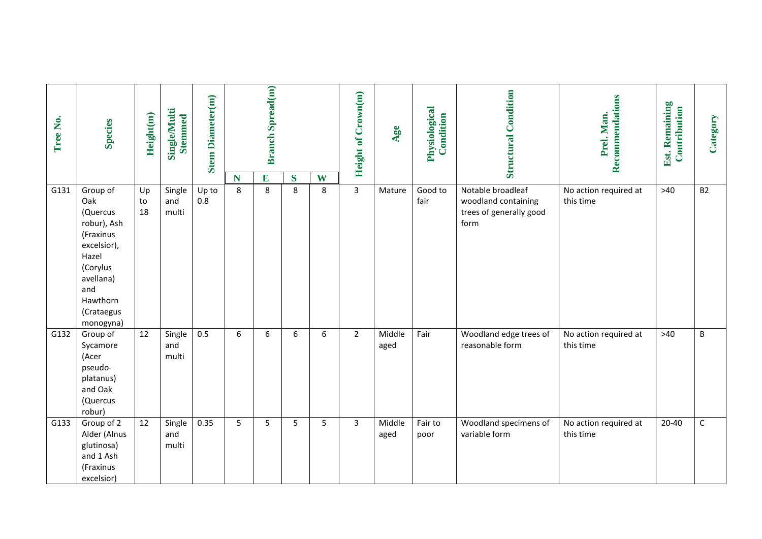| Tree No. | <b>Species</b>                                                                                                                                         | Height(m)      | Single/Multi<br><b>Stemmed</b> | <b>Stem Diameter(m)</b> |                 | <b>Branch Spread(m)</b> |        |        | Height of Crown(m) | Age            | Physiological<br>Condition | <b>Structural Condition</b>                                                 | Recommendations<br>Prel. Man.      | Est. Remaining<br>Contribution | Category    |
|----------|--------------------------------------------------------------------------------------------------------------------------------------------------------|----------------|--------------------------------|-------------------------|-----------------|-------------------------|--------|--------|--------------------|----------------|----------------------------|-----------------------------------------------------------------------------|------------------------------------|--------------------------------|-------------|
| G131     | Group of<br>Oak<br>(Quercus<br>robur), Ash<br>(Fraxinus<br>excelsior),<br>Hazel<br>(Corylus<br>avellana)<br>and<br>Hawthorn<br>(Crataegus<br>monogyna) | Up<br>to<br>18 | Single<br>and<br>multi         | Up to<br>0.8            | N<br>8          | E<br>8                  | S<br>8 | W<br>8 | $\overline{3}$     | Mature         | Good to<br>fair            | Notable broadleaf<br>woodland containing<br>trees of generally good<br>form | No action required at<br>this time | $>40$                          | <b>B2</b>   |
| G132     | Group of<br>Sycamore<br>(Acer<br>pseudo-<br>platanus)<br>and Oak<br>(Quercus<br>robur)                                                                 | 12             | Single<br>and<br>multi         | 0.5                     | $6\phantom{1}6$ | 6                       | 6      | 6      | $\overline{2}$     | Middle<br>aged | Fair                       | Woodland edge trees of<br>reasonable form                                   | No action required at<br>this time | $>40$                          | $\sf B$     |
| G133     | Group of 2<br>Alder (Alnus<br>glutinosa)<br>and 1 Ash<br>(Fraxinus<br>excelsior)                                                                       | 12             | Single<br>and<br>multi         | 0.35                    | 5               | 5                       | 5      | 5      | 3                  | Middle<br>aged | Fair to<br>poor            | Woodland specimens of<br>variable form                                      | No action required at<br>this time | $20 - 40$                      | $\mathsf C$ |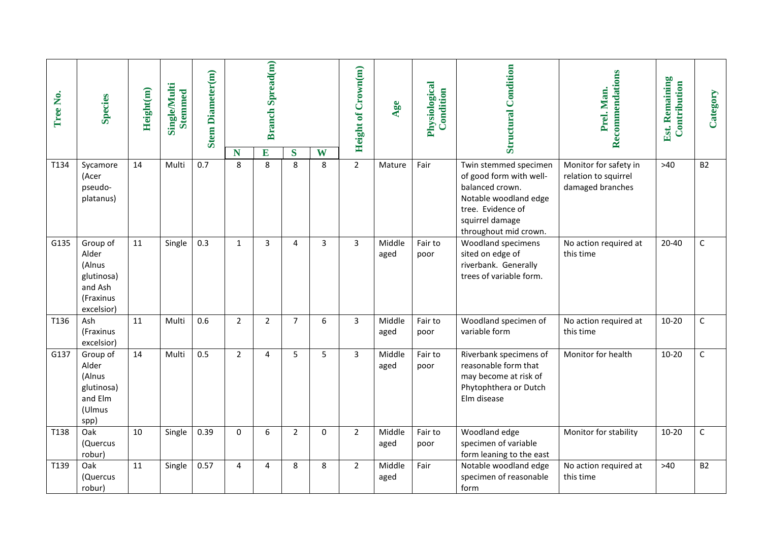| Tree No. | <b>Species</b>                                                                  | Height(m) | <b>Single/Multi</b><br><b>Stemmed</b> | <b>Stem Diameter(m)</b> | N              | <b>Branch Spread(m)</b><br>E | S              | W | Height of Crown(m) | Age            | Physiological<br>Condition | <b>Structural Condition</b>                                                                                                                                   | Recommendations<br>Prel. Man.                                     | Est. Remaining<br>Contribution | Category    |
|----------|---------------------------------------------------------------------------------|-----------|---------------------------------------|-------------------------|----------------|------------------------------|----------------|---|--------------------|----------------|----------------------------|---------------------------------------------------------------------------------------------------------------------------------------------------------------|-------------------------------------------------------------------|--------------------------------|-------------|
| T134     | Sycamore<br>(Acer<br>pseudo-<br>platanus)                                       | 14        | Multi                                 | 0.7                     | 8              | 8                            | 8              | 8 | $\overline{2}$     | Mature         | Fair                       | Twin stemmed specimen<br>of good form with well-<br>balanced crown.<br>Notable woodland edge<br>tree. Evidence of<br>squirrel damage<br>throughout mid crown. | Monitor for safety in<br>relation to squirrel<br>damaged branches | $>40$                          | <b>B2</b>   |
| G135     | Group of<br>Alder<br>(Alnus<br>glutinosa)<br>and Ash<br>(Fraxinus<br>excelsior) | 11        | Single                                | 0.3                     | $\mathbf{1}$   | 3                            | 4              | 3 | 3                  | Middle<br>aged | Fair to<br>poor            | Woodland specimens<br>sited on edge of<br>riverbank. Generally<br>trees of variable form.                                                                     | No action required at<br>this time                                | $20 - 40$                      | $\mathsf C$ |
| T136     | Ash<br>(Fraxinus<br>excelsior)                                                  | 11        | Multi                                 | 0.6                     | $\overline{2}$ | $\overline{2}$               | $\overline{7}$ | 6 | 3                  | Middle<br>aged | Fair to<br>poor            | Woodland specimen of<br>variable form                                                                                                                         | No action required at<br>this time                                | $10 - 20$                      | $\mathsf C$ |
| G137     | Group of<br>Alder<br>(Alnus<br>glutinosa)<br>and Elm<br>(Ulmus<br>spp)          | 14        | Multi                                 | 0.5                     | $\overline{2}$ | 4                            | 5              | 5 | $\overline{3}$     | Middle<br>aged | Fair to<br>poor            | Riverbank specimens of<br>reasonable form that<br>may become at risk of<br>Phytophthera or Dutch<br>Elm disease                                               | Monitor for health                                                | $10 - 20$                      | $\mathsf C$ |
| T138     | Oak<br>(Quercus<br>robur)                                                       | 10        | Single                                | 0.39                    | $\Omega$       | 6                            | 2              | 0 | $\overline{2}$     | Middle<br>aged | Fair to<br>poor            | Woodland edge<br>specimen of variable<br>form leaning to the east                                                                                             | Monitor for stability                                             | $10 - 20$                      | $\mathsf C$ |
| T139     | Oak<br>(Quercus<br>robur)                                                       | 11        | Single                                | 0.57                    | 4              | 4                            | 8              | 8 | $\overline{2}$     | Middle<br>aged | Fair                       | Notable woodland edge<br>specimen of reasonable<br>form                                                                                                       | No action required at<br>this time                                | $>40$                          | <b>B2</b>   |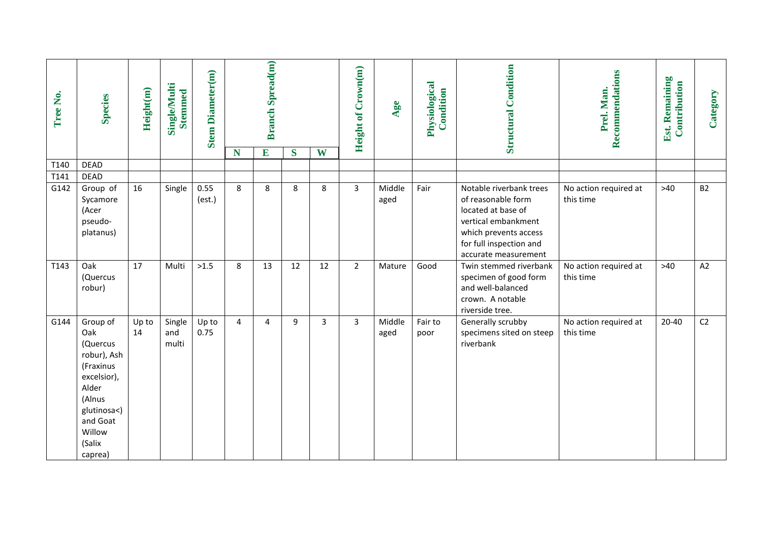| Tree No. | <b>Species</b>                                                                                                                                      | Height(m)   | <b>Single/Multi</b><br><b>Stemmed</b> | <b>Stem Diameter(m)</b> |                | <b>Branch Spread(m)</b> |    |    | Height of Crown(m) | Age            | Physiological<br>Condition | <b>Structural Condition</b>                                                                                                                                            | Recommendations<br>Prel. Man.      | <b>Est. Remaining</b><br>Contribution | Category       |
|----------|-----------------------------------------------------------------------------------------------------------------------------------------------------|-------------|---------------------------------------|-------------------------|----------------|-------------------------|----|----|--------------------|----------------|----------------------------|------------------------------------------------------------------------------------------------------------------------------------------------------------------------|------------------------------------|---------------------------------------|----------------|
|          |                                                                                                                                                     |             |                                       |                         | N              | $\overline{E}$          | S  | W  |                    |                |                            |                                                                                                                                                                        |                                    |                                       |                |
| T140     | <b>DEAD</b>                                                                                                                                         |             |                                       |                         |                |                         |    |    |                    |                |                            |                                                                                                                                                                        |                                    |                                       |                |
| T141     | <b>DEAD</b>                                                                                                                                         |             |                                       |                         |                |                         |    |    |                    |                |                            |                                                                                                                                                                        |                                    |                                       |                |
| G142     | Group of<br>Sycamore<br>(Acer<br>pseudo-<br>platanus)                                                                                               | 16          | Single                                | 0.55<br>(est.)          | 8              | 8                       | 8  | 8  | 3                  | Middle<br>aged | Fair                       | Notable riverbank trees<br>of reasonable form<br>located at base of<br>vertical embankment<br>which prevents access<br>for full inspection and<br>accurate measurement | No action required at<br>this time | $>40$                                 | <b>B2</b>      |
| T143     | Oak<br>(Quercus<br>robur)                                                                                                                           | 17          | Multi                                 | >1.5                    | 8              | 13                      | 12 | 12 | $\overline{2}$     | Mature         | Good                       | Twin stemmed riverbank<br>specimen of good form<br>and well-balanced<br>crown. A notable<br>riverside tree.                                                            | No action required at<br>this time | $>40$                                 | A2             |
| G144     | Group of<br>Oak<br>(Quercus<br>robur), Ash<br>(Fraxinus<br>excelsior),<br>Alder<br>(Alnus<br>glutinosa<)<br>and Goat<br>Willow<br>(Salix<br>caprea) | Up to<br>14 | Single<br>and<br>multi                | Up to<br>0.75           | $\overline{4}$ | 4                       | 9  | 3  | 3                  | Middle<br>aged | Fair to<br>poor            | Generally scrubby<br>specimens sited on steep<br>riverbank                                                                                                             | No action required at<br>this time | $20 - 40$                             | C <sub>2</sub> |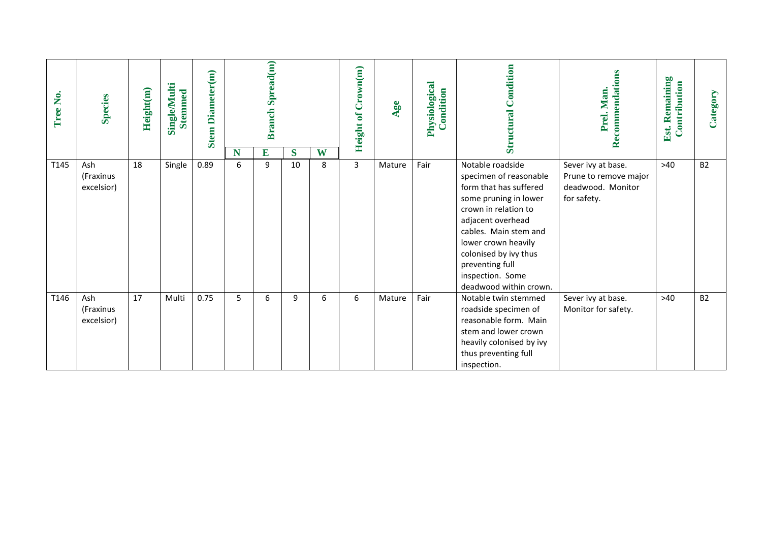| Tree No. | <b>Species</b>                 | Height(m) | <b>Single/Multi</b><br><b>Stemmed</b> | <b>Stem Diameter(m)</b> |        | <b>Branch Spread(m)</b> |         |        | Height of Crown(m) | Age    | Physiological<br>Condition | Condition<br>Structural                                                                                                                                                                                                                                                              | Recommendations<br>Prel. Man                                                    | Remaining<br>Contribution<br>Est. | Category  |
|----------|--------------------------------|-----------|---------------------------------------|-------------------------|--------|-------------------------|---------|--------|--------------------|--------|----------------------------|--------------------------------------------------------------------------------------------------------------------------------------------------------------------------------------------------------------------------------------------------------------------------------------|---------------------------------------------------------------------------------|-----------------------------------|-----------|
| T145     | Ash<br>(Fraxinus<br>excelsior) | 18        | Single                                | 0.89                    | N<br>6 | E<br>9                  | S<br>10 | W<br>8 | $\overline{3}$     | Mature | Fair                       | Notable roadside<br>specimen of reasonable<br>form that has suffered<br>some pruning in lower<br>crown in relation to<br>adjacent overhead<br>cables. Main stem and<br>lower crown heavily<br>colonised by ivy thus<br>preventing full<br>inspection. Some<br>deadwood within crown. | Sever ivy at base.<br>Prune to remove major<br>deadwood. Monitor<br>for safety. | $>40$                             | <b>B2</b> |
| T146     | Ash<br>(Fraxinus<br>excelsior) | 17        | Multi                                 | 0.75                    | 5      | 6                       | 9       | 6      | 6                  | Mature | Fair                       | Notable twin stemmed<br>roadside specimen of<br>reasonable form. Main<br>stem and lower crown<br>heavily colonised by ivy<br>thus preventing full<br>inspection.                                                                                                                     | Sever ivy at base.<br>Monitor for safety.                                       | $>40$                             | <b>B2</b> |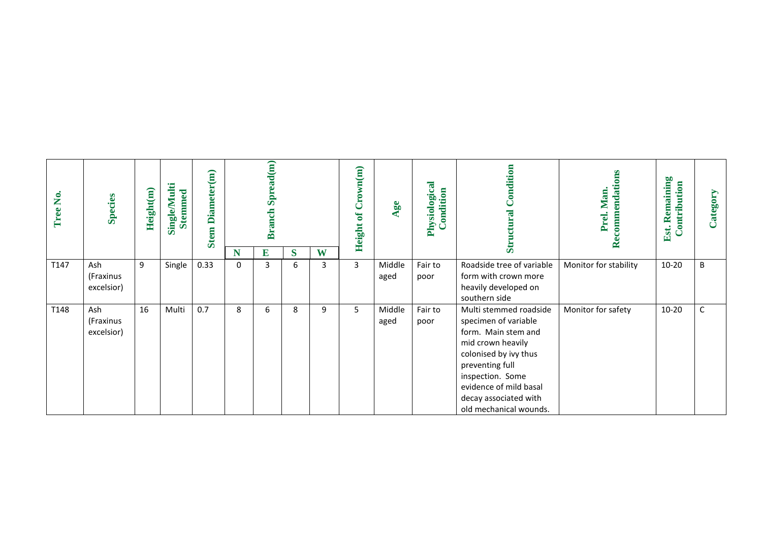| Tree No. | <b>Species</b>                 | Height(m) | Single/Multi<br><b>Stemmed</b> | Diameter(m)<br>Stem |                  | Spread(m)<br><b>Branch</b> |        |        | <b>Height of Crown(m)</b> | Age            | Physiological<br>Condition | Condition<br>Structural                                                                                                                                                                                                                 | Recommendations<br>Man.<br>Prel. | Remaining<br>Contribution<br>Est. | Category |
|----------|--------------------------------|-----------|--------------------------------|---------------------|------------------|----------------------------|--------|--------|---------------------------|----------------|----------------------------|-----------------------------------------------------------------------------------------------------------------------------------------------------------------------------------------------------------------------------------------|----------------------------------|-----------------------------------|----------|
| T147     | Ash<br>(Fraxinus<br>excelsior) | 9         | Single                         | 0.33                | N<br>$\mathbf 0$ | E<br>3                     | S<br>6 | W<br>3 | 3                         | Middle<br>aged | Fair to<br>poor            | Roadside tree of variable<br>form with crown more<br>heavily developed on<br>southern side                                                                                                                                              | Monitor for stability            | $10 - 20$                         | B        |
| T148     | Ash<br>(Fraxinus<br>excelsior) | 16        | Multi                          | 0.7                 | 8                | 6                          | 8      | 9      | 5                         | Middle<br>aged | Fair to<br>poor            | Multi stemmed roadside<br>specimen of variable<br>form. Main stem and<br>mid crown heavily<br>colonised by ivy thus<br>preventing full<br>inspection. Some<br>evidence of mild basal<br>decay associated with<br>old mechanical wounds. | Monitor for safety               | $10 - 20$                         | С        |